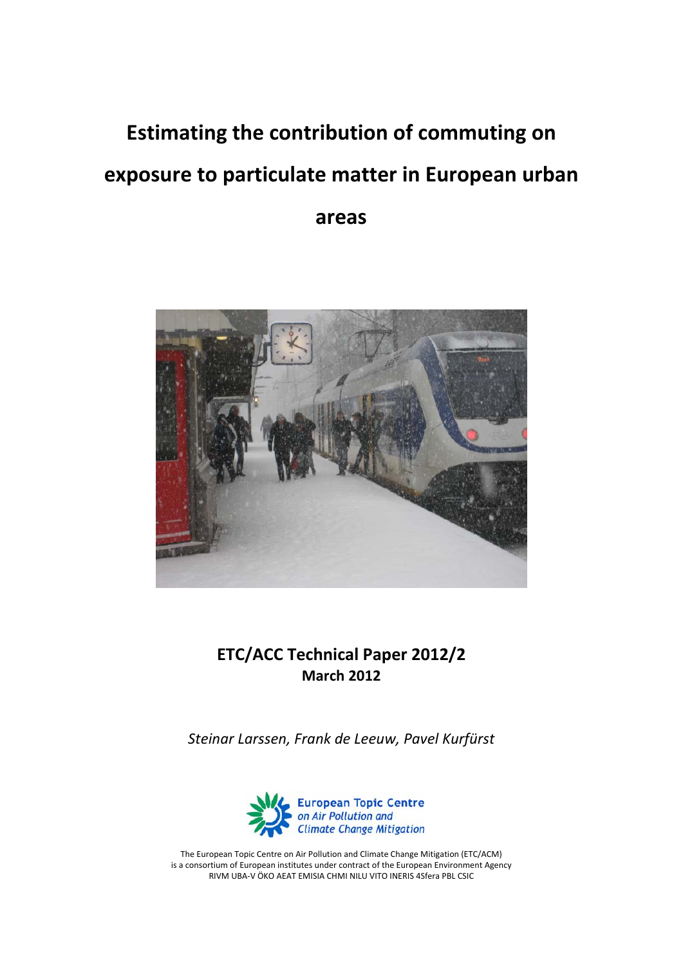# **Estimating the contribution of commuting on exposure to particulate matter in European urban**

**areas** 



# **ETC/ACC Technical Paper 2012/2 March 2012**

*Steinar Larssen, Frank de Leeuw, Pavel Kurfürst*



The European Topic Centre on Air Pollution and Climate Change Mitigation (ETC/ACM) is a consortium of European institutes under contract of the European Environment Agency RIVM UBA‐V ÖKO AEAT EMISIA CHMI NILU VITO INERIS 4Sfera PBL CSIC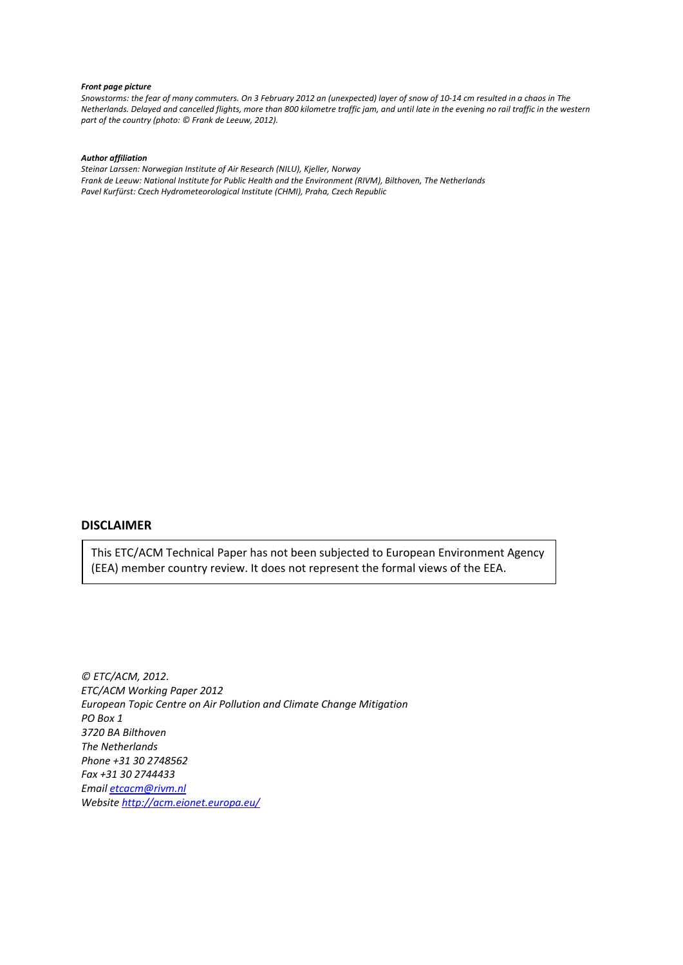#### *Front page picture*

Snowstorms: the fear of many commuters. On 3 February 2012 an (unexpected) layer of snow of 10-14 cm resulted in a chaos in The Netherlands. Delayed and cancelled flights, more than 800 kilometre traffic jam, and until late in the evening no rail traffic in the western *part of the country (photo: © Frank de Leeuw, 2012).* 

#### *Author affiliation*

*Steinar Larssen: Norwegian Institute of Air Research (NILU), Kjeller, Norway Frank de Leeuw: National Institute for Public Health and the Environment (RIVM), Bilthoven, The Netherlands Pavel Kurfürst: Czech Hydrometeorological Institute (CHMI), Praha, Czech Republic*

### **DISCLAIMER**

This ETC/ACM Technical Paper has not been subjected to European Environment Agency (EEA) member country review. It does not represent the formal views of the EEA.

*© ETC/ACM, 2012. ETC/ACM Working Paper 2012 European Topic Centre on Air Pollution and Climate Change Mitigation PO Box 1 3720 BA Bilthoven The Netherlands Phone +31 30 2748562 Fax +31 30 2744433 Email [etcacm@rivm.nl](mailto:etcacm@rivm.nl) Website <http://acm.eionet.europa.eu/>*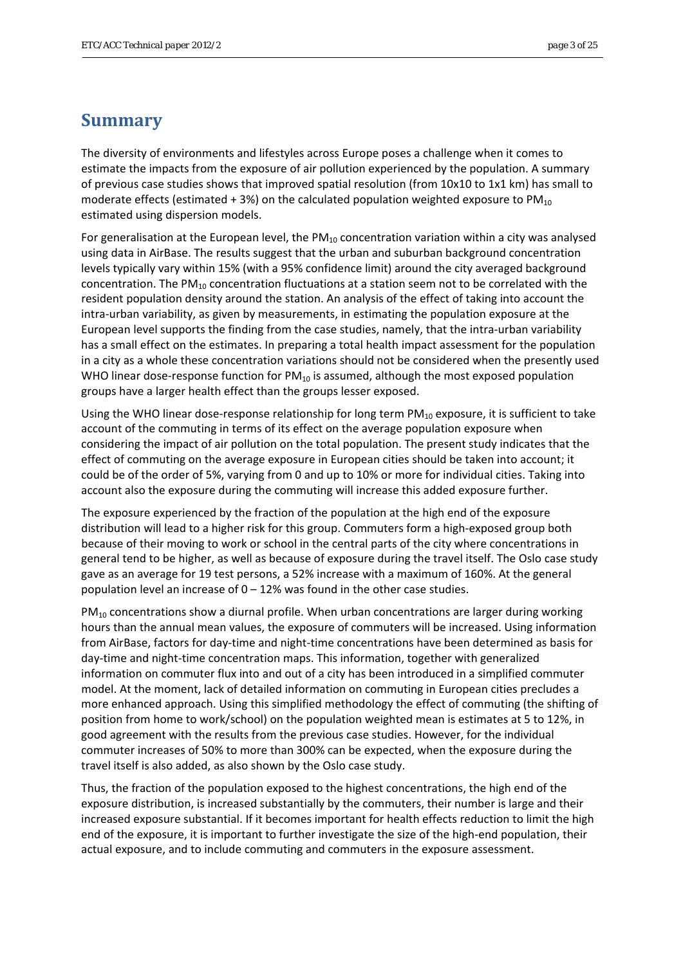## <span id="page-2-0"></span>**Summary**

The diversity of environments and lifestyles across Europe poses a challenge when it comes to estimate the impacts from the exposure of air pollution experienced by the population. A summary of previous case studies shows that improved spatial resolution (from 10x10 to 1x1 km) has small to moderate effects (estimated + 3%) on the calculated population weighted exposure to  $PM_{10}$ estimated using dispersion models.

For generalisation at the European level, the  $PM_{10}$  concentration variation within a city was analysed using data in AirBase. The results suggest that the urban and suburban background concentration levels typically vary within 15% (with a 95% confidence limit) around the city averaged background concentration. The  $PM_{10}$  concentration fluctuations at a station seem not to be correlated with the resident population density around the station. An analysis of the effect of taking into account the intra-urban variability, as given by measurements, in estimating the population exposure at the European level supports the finding from the case studies, namely, that the intra‐urban variability has a small effect on the estimates. In preparing a total health impact assessment for the population in a city as a whole these concentration variations should not be considered when the presently used WHO linear dose-response function for  $PM_{10}$  is assumed, although the most exposed population groups have a larger health effect than the groups lesser exposed.

Using the WHO linear dose-response relationship for long term  $PM_{10}$  exposure, it is sufficient to take account of the commuting in terms of its effect on the average population exposure when considering the impact of air pollution on the total population. The present study indicates that the effect of commuting on the average exposure in European cities should be taken into account; it could be of the order of 5%, varying from 0 and up to 10% or more for individual cities. Taking into account also the exposure during the commuting will increase this added exposure further.

The exposure experienced by the fraction of the population at the high end of the exposure distribution will lead to a higher risk for this group. Commuters form a high‐exposed group both because of their moving to work or school in the central parts of the city where concentrations in general tend to be higher, as well as because of exposure during the travel itself. The Oslo case study gave as an average for 19 test persons, a 52% increase with a maximum of 160%. At the general population level an increase of  $0 - 12%$  was found in the other case studies.

 $PM_{10}$  concentrations show a diurnal profile. When urban concentrations are larger during working hours than the annual mean values, the exposure of commuters will be increased. Using information from AirBase, factors for day‐time and night‐time concentrations have been determined as basis for day‐time and night‐time concentration maps. This information, together with generalized information on commuter flux into and out of a city has been introduced in a simplified commuter model. At the moment, lack of detailed information on commuting in European cities precludes a more enhanced approach. Using this simplified methodology the effect of commuting (the shifting of position from home to work/school) on the population weighted mean is estimates at 5 to 12%, in good agreement with the results from the previous case studies. However, for the individual commuter increases of 50% to more than 300% can be expected, when the exposure during the travel itself is also added, as also shown by the Oslo case study.

Thus, the fraction of the population exposed to the highest concentrations, the high end of the exposure distribution, is increased substantially by the commuters, their number is large and their increased exposure substantial. If it becomes important for health effects reduction to limit the high end of the exposure, it is important to further investigate the size of the high-end population, their actual exposure, and to include commuting and commuters in the exposure assessment.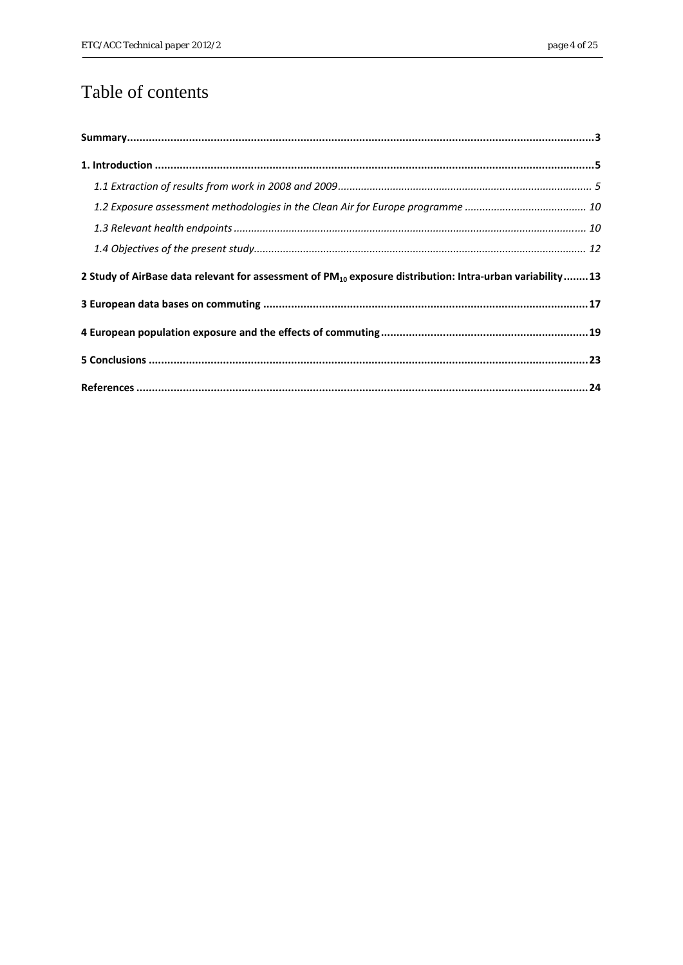# Table of contents

| 2 Study of AirBase data relevant for assessment of PM <sub>10</sub> exposure distribution: Intra-urban variability13 |  |
|----------------------------------------------------------------------------------------------------------------------|--|
|                                                                                                                      |  |
|                                                                                                                      |  |
|                                                                                                                      |  |
|                                                                                                                      |  |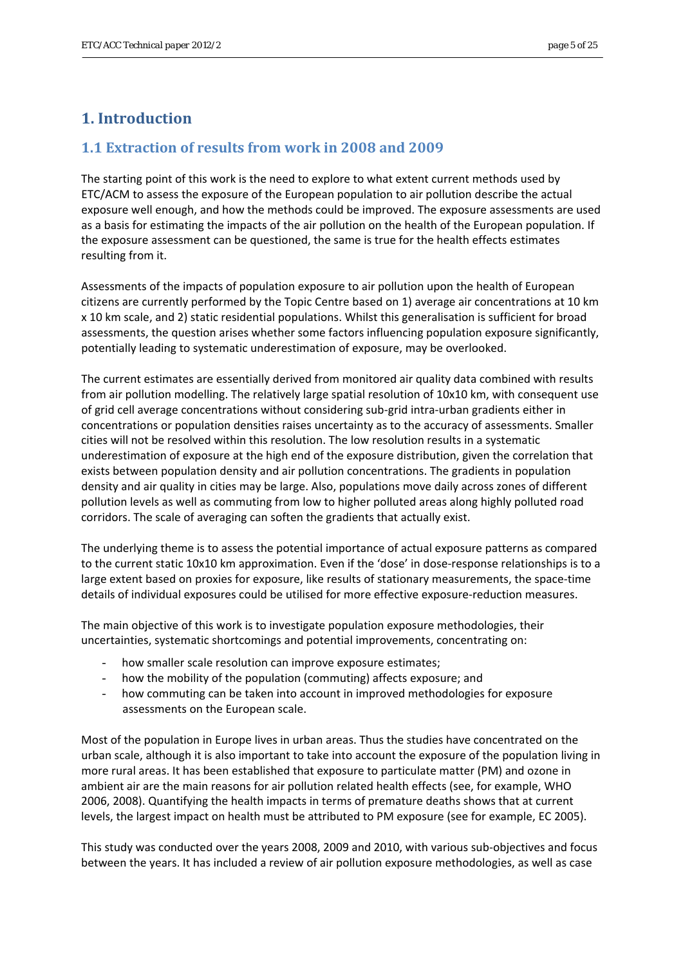## <span id="page-4-0"></span>**1. Introduction**

## <span id="page-4-1"></span>**1.1 Extraction of results from work in 2008 and 2009**

The starting point of this work is the need to explore to what extent current methods used by ETC/ACM to assess the exposure of the European population to air pollution describe the actual exposure well enough, and how the methods could be improved. The exposure assessments are used as a basis for estimating the impacts of the air pollution on the health of the European population. If the exposure assessment can be questioned, the same is true for the health effects estimates resulting from it.

Assessments of the impacts of population exposure to air pollution upon the health of European citizens are currently performed by the Topic Centre based on 1) average air concentrations at 10 km x 10 km scale, and 2) static residential populations. Whilst this generalisation is sufficient for broad assessments, the question arises whether some factors influencing population exposure significantly, potentially leading to systematic underestimation of exposure, may be overlooked.

The current estimates are essentially derived from monitored air quality data combined with results from air pollution modelling. The relatively large spatial resolution of 10x10 km, with consequent use of grid cell average concentrations without considering sub‐grid intra‐urban gradients either in concentrations or population densities raises uncertainty as to the accuracy of assessments. Smaller cities will not be resolved within this resolution. The low resolution results in a systematic underestimation of exposure at the high end of the exposure distribution, given the correlation that exists between population density and air pollution concentrations. The gradients in population density and air quality in cities may be large. Also, populations move daily across zones of different pollution levels as well as commuting from low to higher polluted areas along highly polluted road corridors. The scale of averaging can soften the gradients that actually exist.

The underlying theme is to assess the potential importance of actual exposure patterns as compared to the current static 10x10 km approximation. Even if the 'dose' in dose-response relationships is to a large extent based on proxies for exposure, like results of stationary measurements, the space‐time details of individual exposures could be utilised for more effective exposure‐reduction measures.

The main objective of this work is to investigate population exposure methodologies, their uncertainties, systematic shortcomings and potential improvements, concentrating on:

- how smaller scale resolution can improve exposure estimates;
- how the mobility of the population (commuting) affects exposure; and
- how commuting can be taken into account in improved methodologies for exposure assessments on the European scale.

Most of the population in Europe lives in urban areas. Thus the studies have concentrated on the urban scale, although it is also important to take into account the exposure of the population living in more rural areas. It has been established that exposure to particulate matter (PM) and ozone in ambient air are the main reasons for air pollution related health effects (see, for example, WHO 2006, 2008). Quantifying the health impacts in terms of premature deaths shows that at current levels, the largest impact on health must be attributed to PM exposure (see for example, EC 2005).

This study was conducted over the years 2008, 2009 and 2010, with various sub‐objectives and focus between the years. It has included a review of air pollution exposure methodologies, as well as case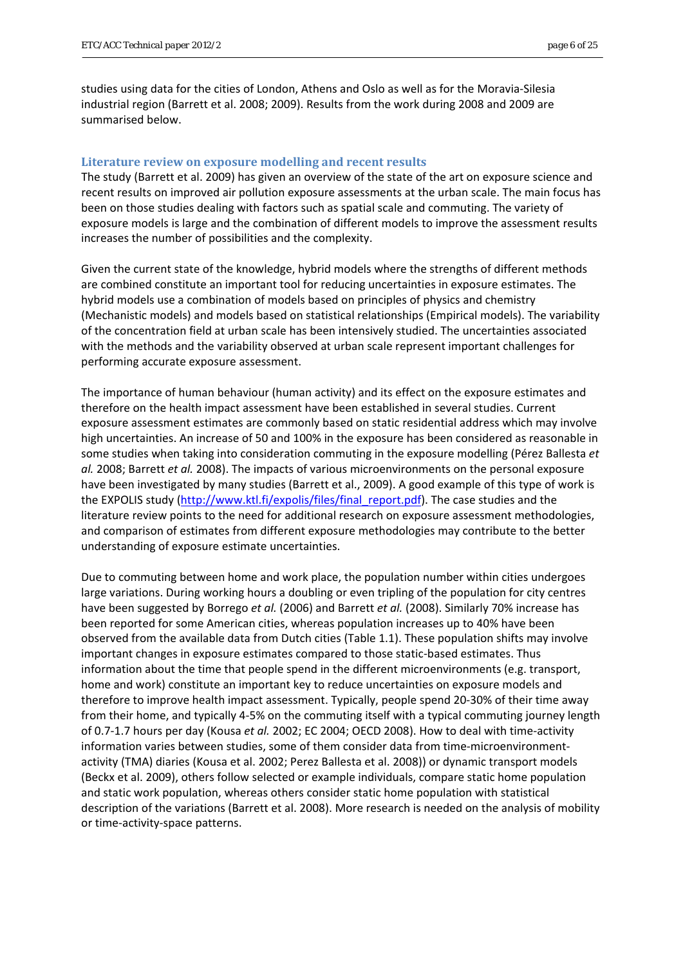studies using data for the cities of London, Athens and Oslo as well as for the Moravia‐Silesia industrial region (Barrett et al. 2008; 2009). Results from the work during 2008 and 2009 are summarised below.

#### **Literature review on exposure modelling and recent results**

The study (Barrett et al. 2009) has given an overview of the state of the art on exposure science and recent results on improved air pollution exposure assessments at the urban scale. The main focus has been on those studies dealing with factors such as spatial scale and commuting. The variety of exposure models is large and the combination of different models to improve the assessment results increases the number of possibilities and the complexity.

Given the current state of the knowledge, hybrid models where the strengths of different methods are combined constitute an important tool for reducing uncertainties in exposure estimates. The hybrid models use a combination of models based on principles of physics and chemistry (Mechanistic models) and models based on statistical relationships (Empirical models). The variability of the concentration field at urban scale has been intensively studied. The uncertainties associated with the methods and the variability observed at urban scale represent important challenges for performing accurate exposure assessment.

The importance of human behaviour (human activity) and its effect on the exposure estimates and therefore on the health impact assessment have been established in several studies. Current exposure assessment estimates are commonly based on static residential address which may involve high uncertainties. An increase of 50 and 100% in the exposure has been considered as reasonable in some studies when taking into consideration commuting in the exposure modelling (Pérez Ballesta *et al.* 2008; Barrett *et al.* 2008). The impacts of various microenvironments on the personal exposure have been investigated by many studies (Barrett et al., 2009). A good example of this type of work is the EXPOLIS study ([http://www.ktl.fi/expolis/files/final\\_report.pdf](http://www.ktl.fi/expolis/files/final_report.pdf)). The case studies and the literature review points to the need for additional research on exposure assessment methodologies, and comparison of estimates from different exposure methodologies may contribute to the better understanding of exposure estimate uncertainties.

Due to commuting between home and work place, the population number within cities undergoes large variations. During working hours a doubling or even tripling of the population for city centres have been suggested by Borrego *et al.* (2006) and Barrett *et al.* (2008). Similarly 70% increase has been reported for some American cities, whereas population increases up to 40% have been observed from the available data from Dutch cities (Table 1.1). These population shifts may involve important changes in exposure estimates compared to those static‐based estimates. Thus information about the time that people spend in the different microenvironments (e.g. transport, home and work) constitute an important key to reduce uncertainties on exposure models and therefore to improve health impact assessment. Typically, people spend 20‐30% of their time away from their home, and typically 4‐5% on the commuting itself with a typical commuting journey length of 0.7‐1.7 hours per day (Kousa *et al.* 2002; EC 2004; OECD 2008). How to deal with time‐activity information varies between studies, some of them consider data from time-microenvironmentactivity (TMA) diaries (Kousa et al. 2002; Perez Ballesta et al. 2008)) or dynamic transport models (Beckx et al. 2009), others follow selected or example individuals, compare static home population and static work population, whereas others consider static home population with statistical description of the variations (Barrett et al. 2008). More research is needed on the analysis of mobility or time‐activity‐space patterns.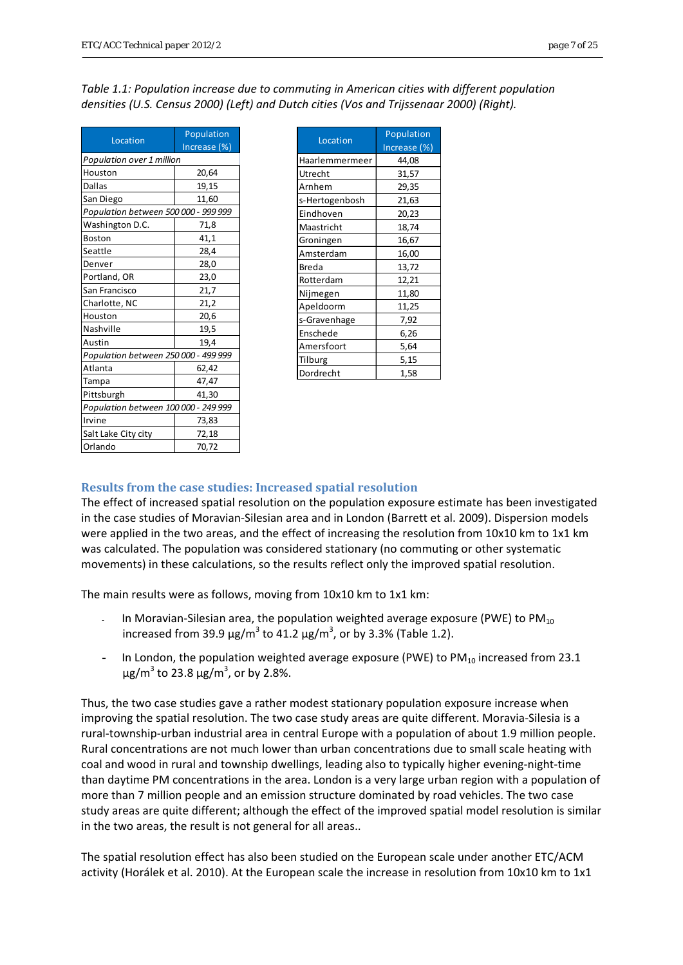| Location                             | <b>Population</b> |  |  |  |  |  |  |
|--------------------------------------|-------------------|--|--|--|--|--|--|
|                                      | Increase (%)      |  |  |  |  |  |  |
| Population over 1 million            |                   |  |  |  |  |  |  |
| Houston<br>20,64                     |                   |  |  |  |  |  |  |
| <b>Dallas</b>                        | 19,15             |  |  |  |  |  |  |
| San Diego                            | 11,60             |  |  |  |  |  |  |
| Population between 500 000 - 999 999 |                   |  |  |  |  |  |  |
| Washington D.C.                      | 71,8              |  |  |  |  |  |  |
| <b>Boston</b>                        | 41,1              |  |  |  |  |  |  |
| Seattle                              | 28,4              |  |  |  |  |  |  |
| Denver                               | 28,0              |  |  |  |  |  |  |
| Portland, OR                         | 23,0              |  |  |  |  |  |  |
| San Francisco                        | 21,7              |  |  |  |  |  |  |
| Charlotte, NC                        | 21,2              |  |  |  |  |  |  |
| Houston                              | 20,6              |  |  |  |  |  |  |
| Nashville                            | 19,5              |  |  |  |  |  |  |
| Austin                               | 19,4              |  |  |  |  |  |  |
| Population between 250 000 - 499 999 |                   |  |  |  |  |  |  |
| Atlanta                              | 62,42             |  |  |  |  |  |  |
| Tampa                                | 47,47             |  |  |  |  |  |  |
| Pittsburgh                           | 41,30             |  |  |  |  |  |  |
| Population between 100 000 - 249 999 |                   |  |  |  |  |  |  |
| Irvine                               | 73,83             |  |  |  |  |  |  |
| Salt Lake City city                  | 72,18             |  |  |  |  |  |  |
| Orlando                              | 70,72             |  |  |  |  |  |  |

| Table 1.1: Population increase due to commuting in American cities with different population |  |
|----------------------------------------------------------------------------------------------|--|
| densities (U.S. Census 2000) (Left) and Dutch cities (Vos and Trijssenaar 2000) (Right).     |  |

| Location       | Population   |  |  |  |
|----------------|--------------|--|--|--|
|                | Increase (%) |  |  |  |
| Haarlemmermeer | 44,08        |  |  |  |
| Utrecht        | 31,57        |  |  |  |
| Arnhem         | 29,35        |  |  |  |
| s-Hertogenbosh | 21,63        |  |  |  |
| Eindhoven      | 20,23        |  |  |  |
| Maastricht     | 18,74        |  |  |  |
| Groningen      | 16,67        |  |  |  |
| Amsterdam      | 16,00        |  |  |  |
| <b>Breda</b>   | 13,72        |  |  |  |
| Rotterdam      | 12,21        |  |  |  |
| Nijmegen       | 11,80        |  |  |  |
| Apeldoorm      | 11,25        |  |  |  |
| s-Gravenhage   | 7,92         |  |  |  |
| Enschede       | 6,26         |  |  |  |
| Amersfoort     | 5,64         |  |  |  |
| Tilburg        | 5,15         |  |  |  |
| Dordrecht      | 1,58         |  |  |  |

## **Results from the case studies: Increased spatial resolution**

The effect of increased spatial resolution on the population exposure estimate has been investigated in the case studies of Moravian‐Silesian area and in London (Barrett et al. 2009). Dispersion models were applied in the two areas, and the effect of increasing the resolution from 10x10 km to 1x1 km was calculated. The population was considered stationary (no commuting or other systematic movements) in these calculations, so the results reflect only the improved spatial resolution.

The main results were as follows, moving from 10x10 km to 1x1 km:

- In Moravian-Silesian area, the population weighted average exposure (PWE) to  $PM_{10}$ increased from 39.9  $\mu$ g/m<sup>3</sup> to 41.2  $\mu$ g/m<sup>3</sup>, or by 3.3% (Table 1.2).
- In London, the population weighted average exposure (PWE) to  $PM_{10}$  increased from 23.1  $\mu$ g/m $^3$  to 23.8  $\mu$ g/m $^3$ , or by 2.8%.

Thus, the two case studies gave a rather modest stationary population exposure increase when improving the spatial resolution. The two case study areas are quite different. Moravia‐Silesia is a rural‐township‐urban industrial area in central Europe with a population of about 1.9 million people. Rural concentrations are not much lower than urban concentrations due to small scale heating with coal and wood in rural and township dwellings, leading also to typically higher evening-night-time than daytime PM concentrations in the area. London is a very large urban region with a population of more than 7 million people and an emission structure dominated by road vehicles. The two case study areas are quite different; although the effect of the improved spatial model resolution is similar in the two areas, the result is not general for all areas..

The spatial resolution effect has also been studied on the European scale under another ETC/ACM activity (Horálek et al. 2010). At the European scale the increase in resolution from 10x10 km to 1x1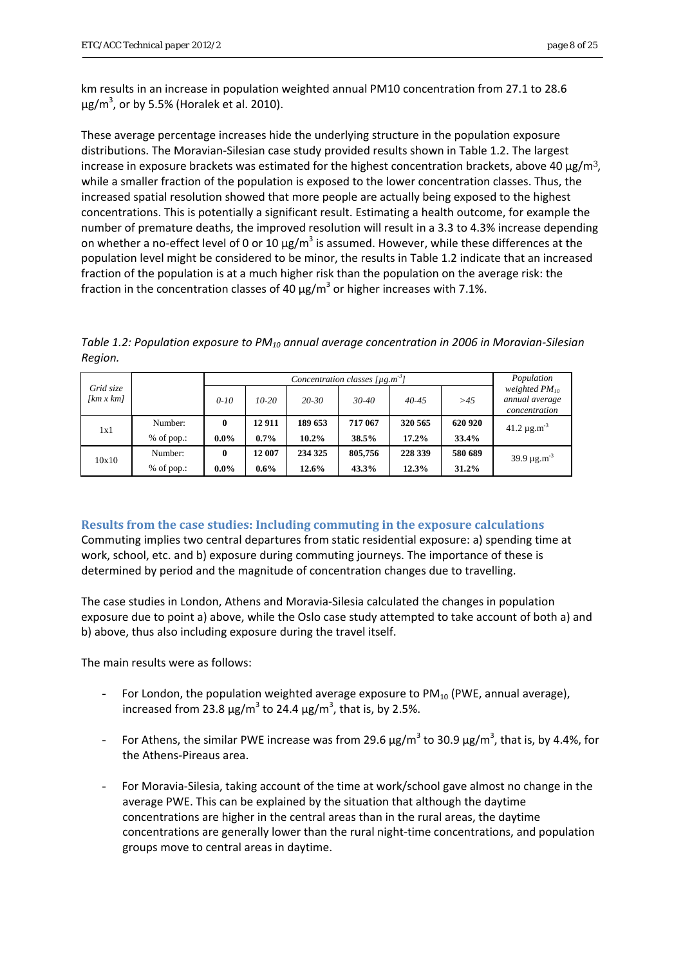km results in an increase in population weighted annual PM10 concentration from 27.1 to 28.6  $\mu$ g/m<sup>3</sup>, or by 5.5% (Horalek et al. 2010).

These average percentage increases hide the underlying structure in the population exposure distributions. The Moravian‐Silesian case study provided results shown in Table 1.2. The largest increase in exposure brackets was estimated for the highest concentration brackets, above 40  $\mu$ g/m<sup>3</sup>, while a smaller fraction of the population is exposed to the lower concentration classes. Thus, the increased spatial resolution showed that more people are actually being exposed to the highest concentrations. This is potentially a significant result. Estimating a health outcome, for example the number of premature deaths, the improved resolution will result in a 3.3 to 4.3% increase depending on whether a no-effect level of 0 or 10  $\mu$ g/m<sup>3</sup> is assumed. However, while these differences at the population level might be considered to be minor, the results in Table 1.2 indicate that an increased fraction of the population is at a much higher risk than the population on the average risk: the fraction in the concentration classes of 40  $\mu$ g/m<sup>3</sup> or higher increases with 7.1%.

*Table 1.2: Population exposure to PM10 annual average concentration in 2006 in Moravian‐Silesian Region.*

|                        |              | Concentration classes $[\mu g.m^3]$ |         |           |           |           |         | Population                                            |  |
|------------------------|--------------|-------------------------------------|---------|-----------|-----------|-----------|---------|-------------------------------------------------------|--|
| Grid size<br>[km x km] |              | $0 - 10$                            | $10-20$ | $20 - 30$ | $30 - 40$ | $40 - 45$ | >45     | weighted $PM_{10}$<br>annual average<br>concentration |  |
| 1x1                    | Number:      | $\mathbf{0}$                        | 12 911  | 189 653   | 717 067   | 320 565   | 620 920 | $41.2 \mu$ g.m <sup>-3</sup>                          |  |
|                        | $%$ of pop.: | $0.0\%$                             | $0.7\%$ | $10.2\%$  | 38.5%     | $17.2\%$  | 33.4%   |                                                       |  |
| 10x10                  | Number:      | $\mathbf{0}$                        | 12 007  | 234 325   | 805,756   | 228 339   | 580 689 | $39.9 \,\mu g.m^{-3}$                                 |  |
|                        | $%$ of pop.: | $0.0\%$                             | $0.6\%$ | $12.6\%$  | 43.3%     | 12.3%     | 31.2%   |                                                       |  |

**Results from the case studies: Including commuting in the exposure calculations** Commuting implies two central departures from static residential exposure: a) spending time at work, school, etc. and b) exposure during commuting journeys. The importance of these is determined by period and the magnitude of concentration changes due to travelling.

The case studies in London, Athens and Moravia‐Silesia calculated the changes in population exposure due to point a) above, while the Oslo case study attempted to take account of both a) and b) above, thus also including exposure during the travel itself.

The main results were as follows:

- For London, the population weighted average exposure to  $PM_{10}$  (PWE, annual average), increased from 23.8  $\mu$ g/m<sup>3</sup> to 24.4  $\mu$ g/m<sup>3</sup>, that is, by 2.5%.
- For Athens, the similar PWE increase was from 29.6  $\mu$ g/m<sup>3</sup> to 30.9  $\mu$ g/m<sup>3</sup>, that is, by 4.4%, for the Athens‐Pireaus area.
- For Moravia-Silesia, taking account of the time at work/school gave almost no change in the average PWE. This can be explained by the situation that although the daytime concentrations are higher in the central areas than in the rural areas, the daytime concentrations are generally lower than the rural night‐time concentrations, and population groups move to central areas in daytime.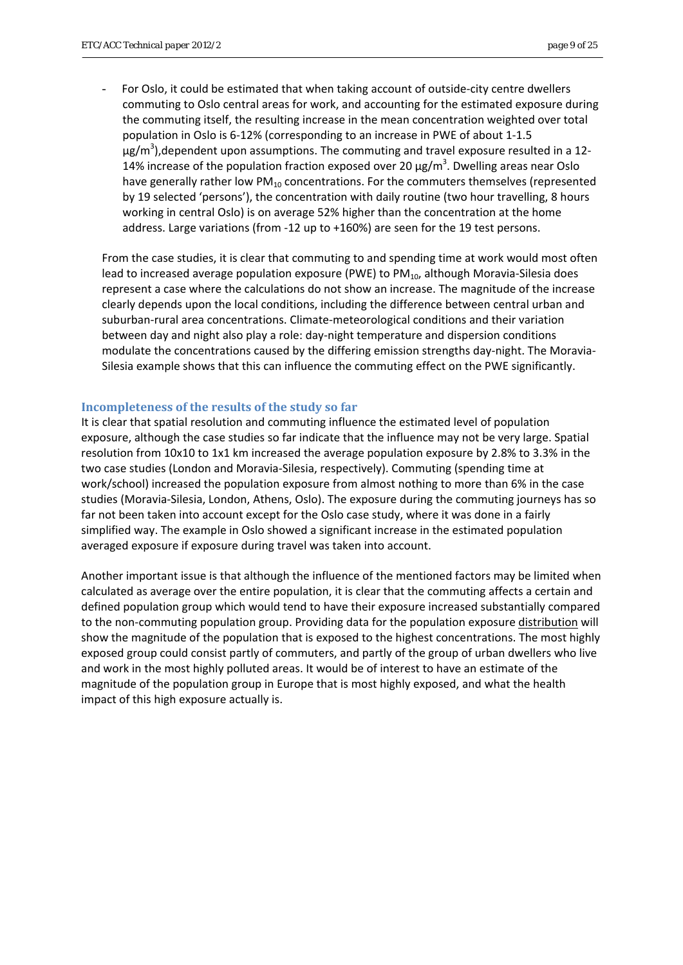For Oslo, it could be estimated that when taking account of outside-city centre dwellers commuting to Oslo central areas for work, and accounting for the estimated exposure during the commuting itself, the resulting increase in the mean concentration weighted over total population in Oslo is 6‐12% (corresponding to an increase in PWE of about 1‐1.5  $\mu$ g/m<sup>3</sup>),dependent upon assumptions. The commuting and travel exposure resulted in a 12-14% increase of the population fraction exposed over 20  $\mu$ g/m<sup>3</sup>. Dwelling areas near Oslo have generally rather low  $PM_{10}$  concentrations. For the commuters themselves (represented by 19 selected 'persons'), the concentration with daily routine (two hour travelling, 8 hours working in central Oslo) is on average 52% higher than the concentration at the home address. Large variations (from ‐12 up to +160%) are seen for the 19 test persons.

From the case studies, it is clear that commuting to and spending time at work would most often lead to increased average population exposure (PWE) to  $PM_{10}$ , although Moravia-Silesia does represent a case where the calculations do not show an increase. The magnitude of the increase clearly depends upon the local conditions, including the difference between central urban and suburban‐rural area concentrations. Climate‐meteorological conditions and their variation between day and night also play a role: day-night temperature and dispersion conditions modulate the concentrations caused by the differing emission strengths day‐night. The Moravia‐ Silesia example shows that this can influence the commuting effect on the PWE significantly.

#### **Incompleteness of the results of the study so far**

It is clear that spatial resolution and commuting influence the estimated level of population exposure, although the case studies so far indicate that the influence may not be very large. Spatial resolution from 10x10 to 1x1 km increased the average population exposure by 2.8% to 3.3% in the two case studies (London and Moravia‐Silesia, respectively). Commuting (spending time at work/school) increased the population exposure from almost nothing to more than 6% in the case studies (Moravia‐Silesia, London, Athens, Oslo). The exposure during the commuting journeys has so far not been taken into account except for the Oslo case study, where it was done in a fairly simplified way. The example in Oslo showed a significant increase in the estimated population averaged exposure if exposure during travel was taken into account.

Another important issue is that although the influence of the mentioned factors may be limited when calculated as average over the entire population, it is clear that the commuting affects a certain and defined population group which would tend to have their exposure increased substantially compared to the non‐commuting population group. Providing data for the population exposure distribution will show the magnitude of the population that is exposed to the highest concentrations. The most highly exposed group could consist partly of commuters, and partly of the group of urban dwellers who live and work in the most highly polluted areas. It would be of interest to have an estimate of the magnitude of the population group in Europe that is most highly exposed, and what the health impact of this high exposure actually is.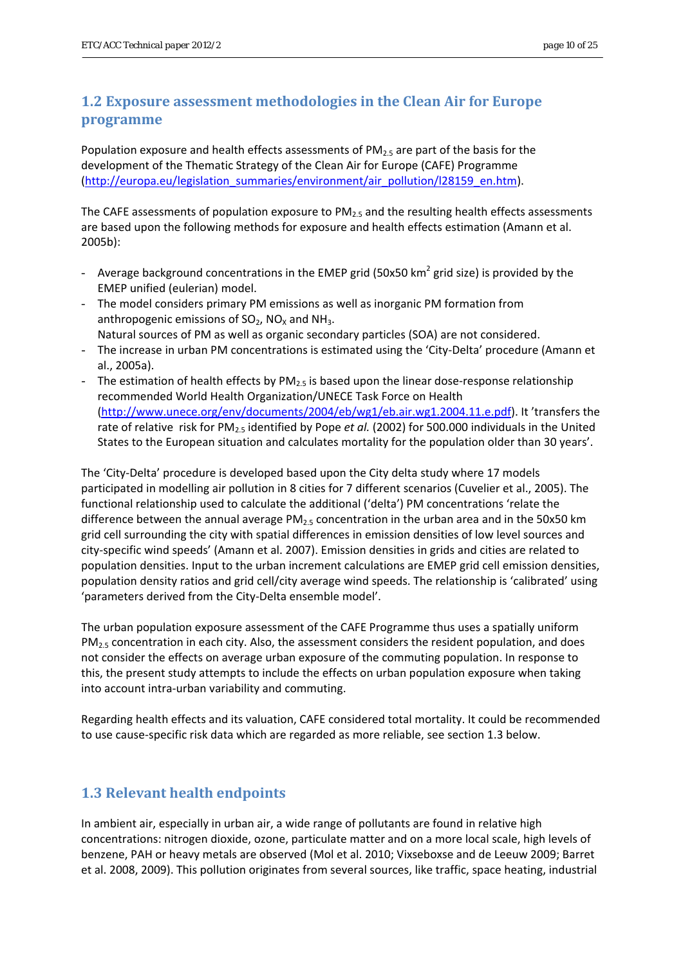## <span id="page-9-0"></span>**1.2 Exposure assessment methodologies in the Clean Air for Europe programme**

Population exposure and health effects assessments of  $PM_{2.5}$  are part of the basis for the development of the Thematic Strategy of the Clean Air for Europe (CAFE) Programme [\(http://europa.eu/legislation\\_summaries/environment/air\\_pollution/l28159\\_en.htm\)](http://europa.eu/legislation_summaries/environment/air_pollution/l28159_en.htm).

The CAFE assessments of population exposure to  $PM<sub>2.5</sub>$  and the resulting health effects assessments are based upon the following methods for exposure and health effects estimation (Amann et al. 2005b):

- Average background concentrations in the EMEP grid (50x50 km<sup>2</sup> grid size) is provided by the EMEP unified (eulerian) model.
- The model considers primary PM emissions as well as inorganic PM formation from anthropogenic emissions of  $SO_2$ , NO<sub>x</sub> and NH<sub>3</sub>. Natural sources of PM as well as organic secondary particles (SOA) are not considered.
- The increase in urban PM concentrations is estimated using the 'City‐Delta' procedure (Amann et al., 2005a).
- The estimation of health effects by  $PM_{2.5}$  is based upon the linear dose-response relationship recommended World Health Organization/UNECE Task Force on Health [\(http://www.unece.org/env/documents/2004/eb/wg1/eb.air.wg1.2004.11.e.pdf\)](http://www.unece.org/env/documents/2004/eb/wg1/eb.air.wg1.2004.11.e.pdf). It 'transfers the rate of relative risk for PM2.5 identified by Pope *et al.* (2002) for 500.000 individuals in the United States to the European situation and calculates mortality for the population older than 30 years'.

The 'City-Delta' procedure is developed based upon the City delta study where 17 models participated in modelling air pollution in 8 cities for 7 different scenarios (Cuvelier et al., 2005). The functional relationship used to calculate the additional ('delta') PM concentrations 'relate the difference between the annual average  $PM<sub>2.5</sub>$  concentration in the urban area and in the 50x50 km grid cell surrounding the city with spatial differences in emission densities of low level sources and city‐specific wind speeds' (Amann et al. 2007). Emission densities in grids and cities are related to population densities. Input to the urban increment calculations are EMEP grid cell emission densities, population density ratios and grid cell/city average wind speeds. The relationship is 'calibrated' using 'parameters derived from the City‐Delta ensemble model'.

The urban population exposure assessment of the CAFE Programme thus uses a spatially uniform  $PM<sub>2.5</sub>$  concentration in each city. Also, the assessment considers the resident population, and does not consider the effects on average urban exposure of the commuting population. In response to this, the present study attempts to include the effects on urban population exposure when taking into account intra‐urban variability and commuting.

Regarding health effects and its valuation, CAFE considered total mortality. It could be recommended to use cause‐specific risk data which are regarded as more reliable, see section 1.3 below.

## <span id="page-9-1"></span>**1.3 Relevant health endpoints**

In ambient air, especially in urban air, a wide range of pollutants are found in relative high concentrations: nitrogen dioxide, ozone, particulate matter and on a more local scale, high levels of benzene, PAH or heavy metals are observed (Mol et al. 2010; Vixseboxse and de Leeuw 2009; Barret et al. 2008, 2009). This pollution originates from several sources, like traffic, space heating, industrial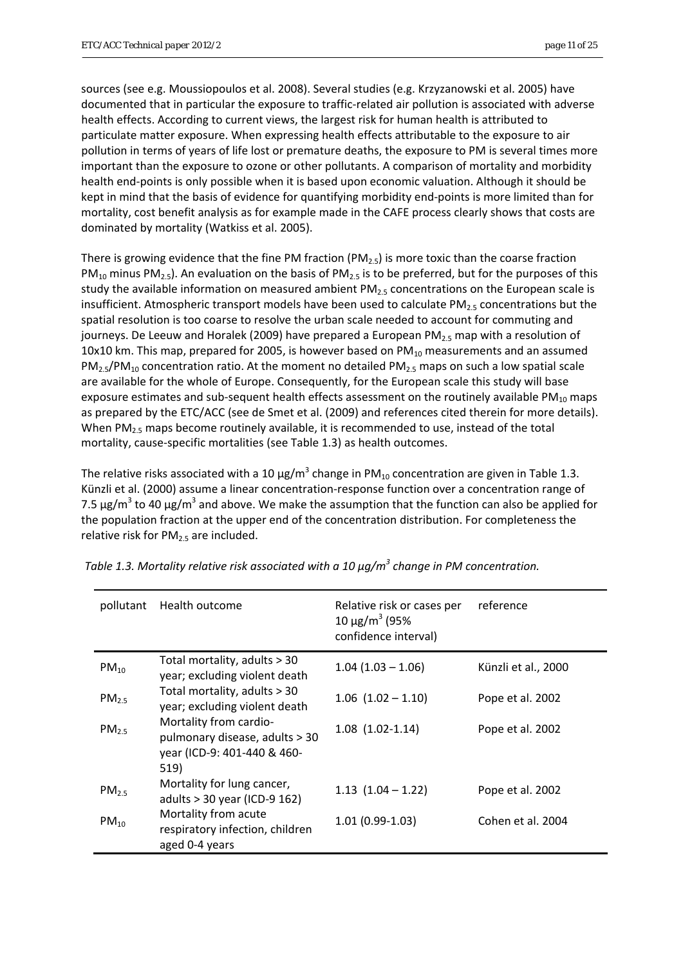sources (see e.g. Moussiopoulos et al. 2008). Several studies (e.g. Krzyzanowski et al. 2005) have documented that in particular the exposure to traffic‐related air pollution is associated with adverse health effects. According to current views, the largest risk for human health is attributed to particulate matter exposure. When expressing health effects attributable to the exposure to air pollution in terms of years of life lost or premature deaths, the exposure to PM is several times more important than the exposure to ozone or other pollutants. A comparison of mortality and morbidity health end‐points is only possible when it is based upon economic valuation. Although it should be kept in mind that the basis of evidence for quantifying morbidity end‐points is more limited than for mortality, cost benefit analysis as for example made in the CAFE process clearly shows that costs are dominated by mortality (Watkiss et al. 2005).

There is growing evidence that the fine PM fraction (PM<sub>25</sub>) is more toxic than the coarse fraction  $PM_{10}$  minus PM<sub>2.5</sub>). An evaluation on the basis of PM<sub>2.5</sub> is to be preferred, but for the purposes of this study the available information on measured ambient  $PM_{2.5}$  concentrations on the European scale is insufficient. Atmospheric transport models have been used to calculate  $PM_{2.5}$  concentrations but the spatial resolution is too coarse to resolve the urban scale needed to account for commuting and journeys. De Leeuw and Horalek (2009) have prepared a European PM $_{2.5}$  map with a resolution of 10x10 km. This map, prepared for 2005, is however based on  $PM_{10}$  measurements and an assumed  $PM_{2.5}/PM_{10}$  concentration ratio. At the moment no detailed PM<sub>2.5</sub> maps on such a low spatial scale are available for the whole of Europe. Consequently, for the European scale this study will base exposure estimates and sub-sequent health effects assessment on the routinely available  $PM_{10}$  maps as prepared by the ETC/ACC (see de Smet et al. (2009) and references cited therein for more details). When PM $_{2.5}$  maps become routinely available, it is recommended to use, instead of the total mortality, cause‐specific mortalities (see Table 1.3) as health outcomes.

The relative risks associated with a 10  $\mu$ g/m<sup>3</sup> change in PM<sub>10</sub> concentration are given in Table 1.3. Künzli et al. (2000) assume a linear concentration‐response function over a concentration range of 7.5 μg/m<sup>3</sup> to 40 μg/m<sup>3</sup> and above. We make the assumption that the function can also be applied for the population fraction at the upper end of the concentration distribution. For completeness the relative risk for  $PM<sub>2.5</sub>$  are included.

| pollutant         | Health outcome                                                                                  | Relative risk or cases per<br>$10 \mu g/m^3$ (95%)<br>confidence interval) | reference           |
|-------------------|-------------------------------------------------------------------------------------------------|----------------------------------------------------------------------------|---------------------|
| $PM_{10}$         | Total mortality, adults > 30<br>year; excluding violent death                                   | $1.04(1.03 - 1.06)$                                                        | Künzli et al., 2000 |
| PM <sub>2.5</sub> | Total mortality, adults > 30<br>year; excluding violent death                                   | $1.06$ $(1.02 - 1.10)$                                                     | Pope et al. 2002    |
| $PM_{2.5}$        | Mortality from cardio-<br>pulmonary disease, adults > 30<br>year (ICD-9: 401-440 & 460-<br>519) | $1.08$ $(1.02-1.14)$                                                       | Pope et al. 2002    |
| PM <sub>2.5</sub> | Mortality for lung cancer,<br>adults > 30 year (ICD-9 162)                                      | $1.13$ $(1.04 - 1.22)$                                                     | Pope et al. 2002    |
| $PM_{10}$         | Mortality from acute<br>respiratory infection, children<br>aged 0-4 years                       | $1.01(0.99-1.03)$                                                          | Cohen et al. 2004   |

*Table 1.3. Mortality relative risk associated with a 10 μg/m<sup>3</sup> change in PM concentration.*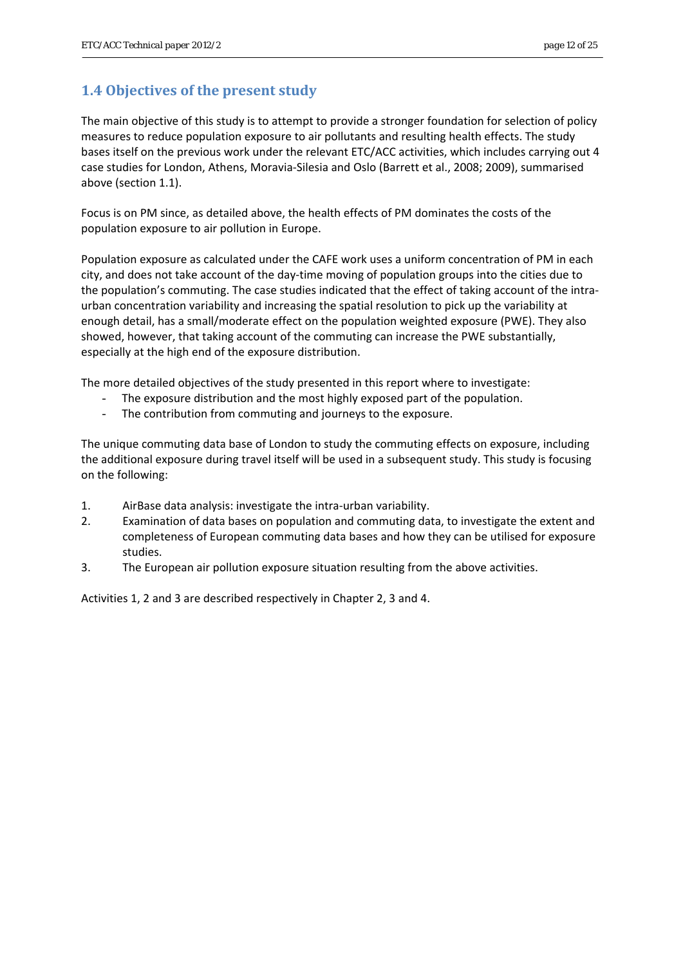## <span id="page-11-0"></span>**1.4 Objectives of the present study**

The main objective of this study is to attempt to provide a stronger foundation for selection of policy measures to reduce population exposure to air pollutants and resulting health effects. The study bases itself on the previous work under the relevant ETC/ACC activities, which includes carrying out 4 case studies for London, Athens, Moravia‐Silesia and Oslo (Barrett et al., 2008; 2009), summarised above (section 1.1).

Focus is on PM since, as detailed above, the health effects of PM dominates the costs of the population exposure to air pollution in Europe.

Population exposure as calculated under the CAFE work uses a uniform concentration of PM in each city, and does not take account of the day‐time moving of population groups into the cities due to the population's commuting. The case studies indicated that the effect of taking account of the intraurban concentration variability and increasing the spatial resolution to pick up the variability at enough detail, has a small/moderate effect on the population weighted exposure (PWE). They also showed, however, that taking account of the commuting can increase the PWE substantially, especially at the high end of the exposure distribution.

The more detailed objectives of the study presented in this report where to investigate:

- The exposure distribution and the most highly exposed part of the population.
- The contribution from commuting and journeys to the exposure.

The unique commuting data base of London to study the commuting effects on exposure, including the additional exposure during travel itself will be used in a subsequent study. This study is focusing on the following:

- 1. AirBase data analysis: investigate the intra‐urban variability.
- 2. Examination of data bases on population and commuting data, to investigate the extent and completeness of European commuting data bases and how they can be utilised for exposure studies.
- 3. The European air pollution exposure situation resulting from the above activities.

Activities 1, 2 and 3 are described respectively in Chapter 2, 3 and 4.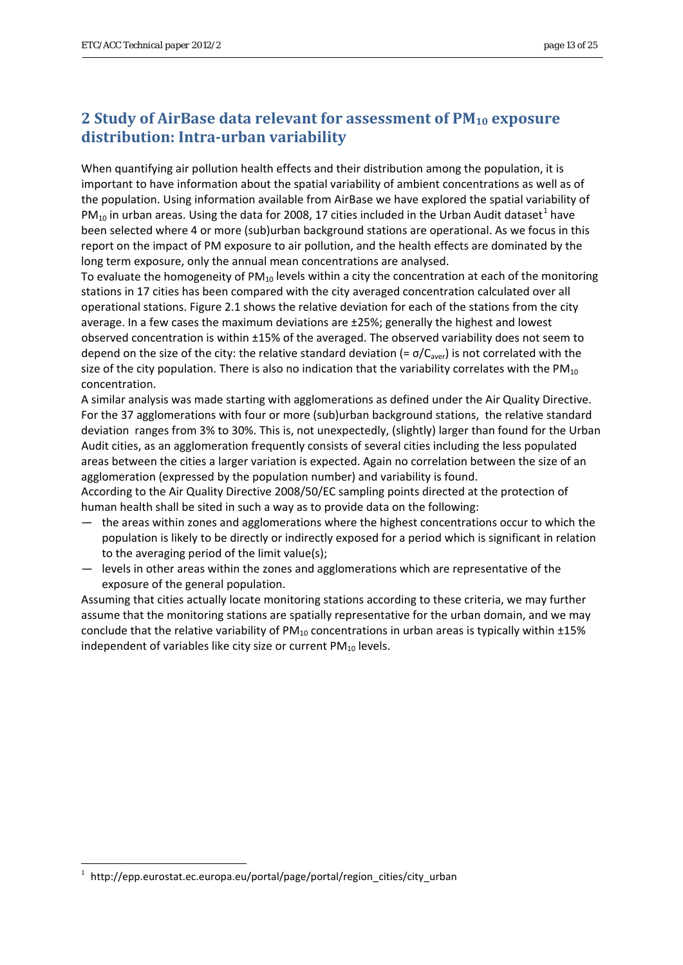## <span id="page-12-0"></span>**2 Study of AirBase data relevant for assessment of PM10 exposure distribution: Intraurban variability**

When quantifying air pollution health effects and their distribution among the population, it is important to have information about the spatial variability of ambient concentrations as well as of the population. Using information available from AirBase we have explored the spatial variability of  $PM_{10}$  $PM_{10}$  $PM_{10}$  in urban areas. Using the data for 2008, 17 cities included in the Urban Audit dataset<sup>1</sup> have been selected where 4 or more (sub)urban background stations are operational. As we focus in this report on the impact of PM exposure to air pollution, and the health effects are dominated by the long term exposure, only the annual mean concentrations are analysed.

To evaluate the homogeneity of  $PM_{10}$  levels within a city the concentration at each of the monitoring stations in 17 cities has been compared with the city averaged concentration calculated over all operational stations. Figure 2.1 shows the relative deviation for each of the stations from the city average. In a few cases the maximum deviations are ±25%; generally the highest and lowest observed concentration is within ±15% of the averaged. The observed variability does not seem to depend on the size of the city: the relative standard deviation (=  $\sigma/C_{\text{aver}}$ ) is not correlated with the size of the city population. There is also no indication that the variability correlates with the  $PM_{10}$ concentration.

A similar analysis was made starting with agglomerations as defined under the Air Quality Directive. For the 37 agglomerations with four or more (sub)urban background stations, the relative standard deviation ranges from 3% to 30%. This is, not unexpectedly, (slightly) larger than found for the Urban Audit cities, as an agglomeration frequently consists of several cities including the less populated areas between the cities a larger variation is expected. Again no correlation between the size of an agglomeration (expressed by the population number) and variability is found.

According to the Air Quality Directive 2008/50/EC sampling points directed at the protection of human health shall be sited in such a way as to provide data on the following:

- the areas within zones and agglomerations where the highest concentrations occur to which the population is likely to be directly or indirectly exposed for a period which is significant in relation to the averaging period of the limit value(s);
- levels in other areas within the zones and agglomerations which are representative of the exposure of the general population.

Assuming that cities actually locate monitoring stations according to these criteria, we may further assume that the monitoring stations are spatially representative for the urban domain, and we may conclude that the relative variability of  $PM_{10}$  concentrations in urban areas is typically within  $\pm 15\%$ independent of variables like city size or current  $PM_{10}$  levels.

-

<span id="page-12-1"></span><sup>1</sup> http://epp.eurostat.ec.europa.eu/portal/page/portal/region\_cities/city\_urban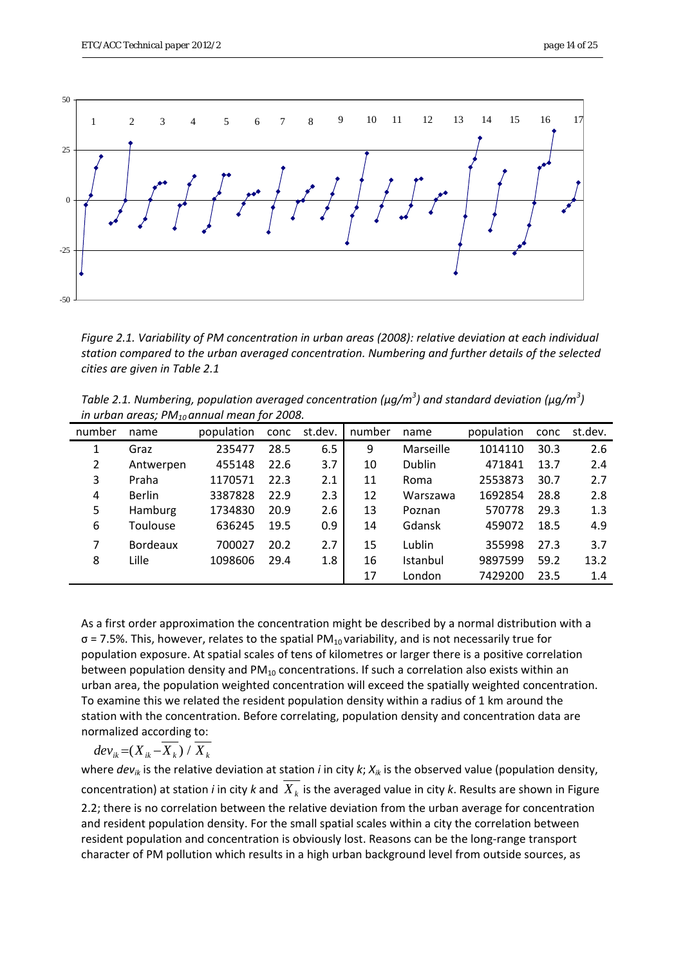

*Figure 2.1. Variability of PM concentration in urban areas (2008): relative deviation at each individual station compared to the urban averaged concentration. Numbering and further details of the selected cities are given in Table 2.1*

| Table 2.1. Numbering, population averaged concentration ( $\mu$ g/m <sup>3</sup> ) and standard deviation ( $\mu$ g/m <sup>3</sup> ) |  |
|--------------------------------------------------------------------------------------------------------------------------------------|--|
| in urban areas; $PM_{10}$ annual mean for 2008.                                                                                      |  |

| number | name            | population | conc | st.dev. | number | name          | population | conc | st.dev. |
|--------|-----------------|------------|------|---------|--------|---------------|------------|------|---------|
|        | Graz            | 235477     | 28.5 | 6.5     | 9      | Marseille     | 1014110    | 30.3 | 2.6     |
| 2      | Antwerpen       | 455148     | 22.6 | 3.7     | 10     | <b>Dublin</b> | 471841     | 13.7 | 2.4     |
| 3      | Praha           | 1170571    | 22.3 | 2.1     | 11     | Roma          | 2553873    | 30.7 | 2.7     |
| 4      | <b>Berlin</b>   | 3387828    | 22.9 | 2.3     | 12     | Warszawa      | 1692854    | 28.8 | 2.8     |
| 5      | <b>Hamburg</b>  | 1734830    | 20.9 | 2.6     | 13     | Poznan        | 570778     | 29.3 | 1.3     |
| 6      | Toulouse        | 636245     | 19.5 | 0.9     | 14     | Gdansk        | 459072     | 18.5 | 4.9     |
| 7      | <b>Bordeaux</b> | 700027     | 20.2 | 2.7     | 15     | Lublin        | 355998     | 27.3 | 3.7     |
| 8      | Lille           | 1098606    | 29.4 | 1.8     | 16     | Istanbul      | 9897599    | 59.2 | 13.2    |
|        |                 |            |      |         | 17     | London        | 7429200    | 23.5 | 1.4     |

As a first order approximation the concentration might be described by a normal distribution with a  $\sigma$  = 7.5%. This, however, relates to the spatial PM<sub>10</sub> variability, and is not necessarily true for population exposure. At spatial scales of tens of kilometres or larger there is a positive correlation between population density and  $PM_{10}$  concentrations. If such a correlation also exists within an urban area, the population weighted concentration will exceed the spatially weighted concentration. To examine this we related the resident population density within a radius of 1 km around the station with the concentration. Before correlating, population density and concentration data are normalized according to:

$$
dev_{ik} = (X_{ik} - \overline{X_k}) / \overline{X_k}
$$

where *devik* is the relative deviation at station *i* in city *k*; *Xik* is the observed value (population density, concentration) at station *i* in city *k* and  $X_k$  is the averaged value in city *k*. Results are shown in Figure 2.2; there is no correlation between the relative deviation from the urban average for concentration and resident population density. For the small spatial scales within a city the correlation between resident population and concentration is obviously lost. Reasons can be the long‐range transport character of PM pollution which results in a high urban background level from outside sources, as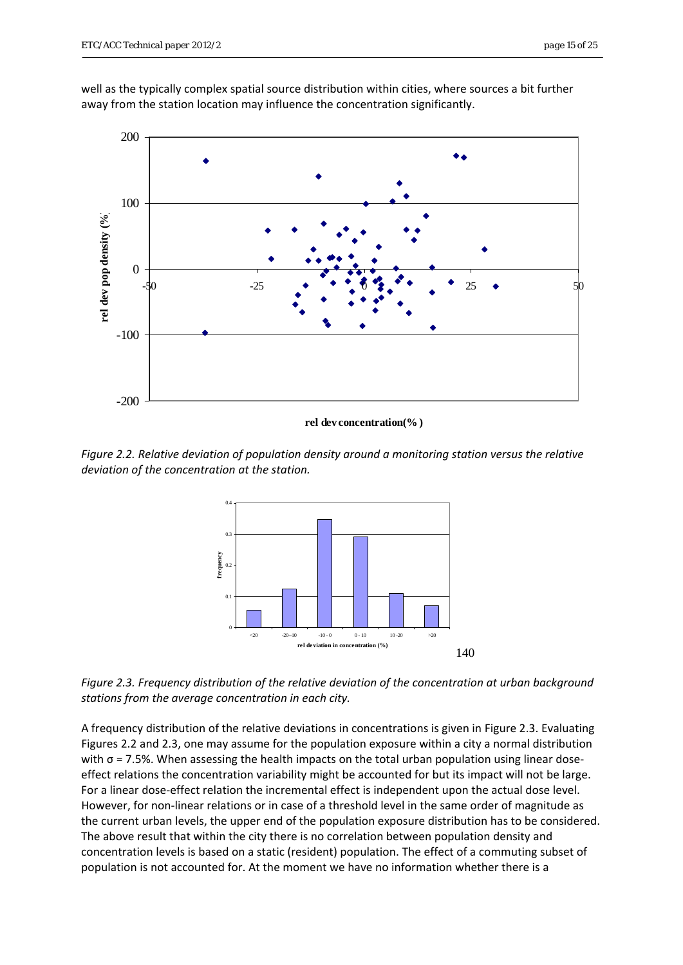well as the typically complex spatial source distribution within cities, where sources a bit further away from the station location may influence the concentration significantly.



**rel dev concentration(% )**

*Figure 2.2. Relative deviation of population density around a monitoring station versus the relative deviation of the concentration at the station.*



*Figure 2.3. Frequency distribution of the relative deviation of the concentration at urban background stations from the average concentration in each city.*

A frequency distribution of the relative deviations in concentrations is given in Figure 2.3. Evaluating Figures 2.2 and 2.3, one may assume for the population exposure within a city a normal distribution with  $\sigma$  = 7.5%. When assessing the health impacts on the total urban population using linear doseeffect relations the concentration variability might be accounted for but its impact will not be large. For a linear dose-effect relation the incremental effect is independent upon the actual dose level. However, for non‐linear relations or in case of a threshold level in the same order of magnitude as the current urban levels, the upper end of the population exposure distribution has to be considered. The above result that within the city there is no correlation between population density and concentration levels is based on a static (resident) population. The effect of a commuting subset of population is not accounted for. At the moment we have no information whether there is a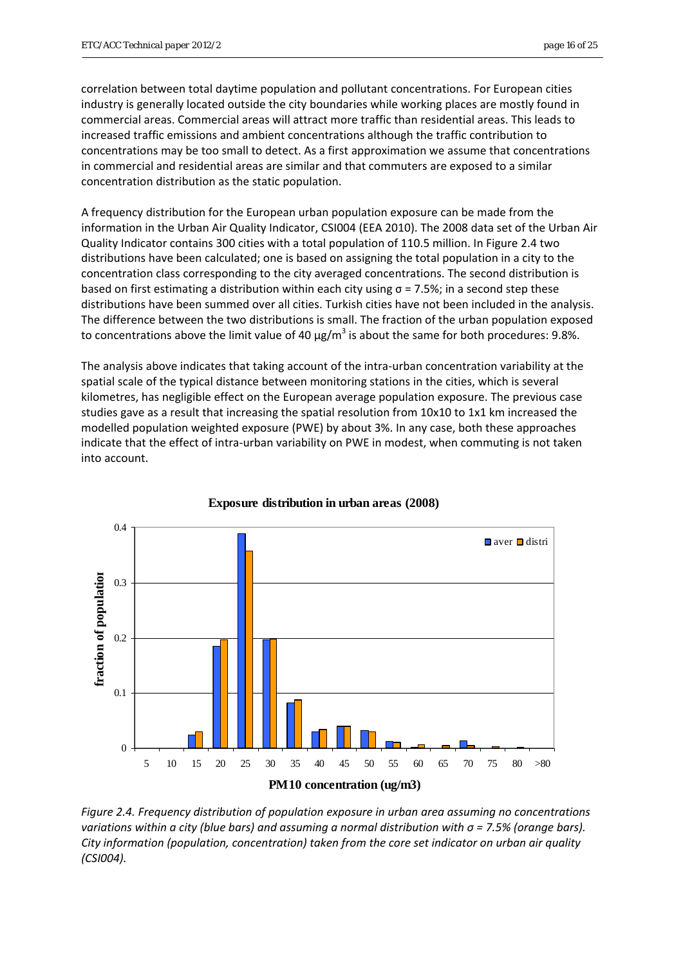correlation between total daytime population and pollutant concentrations. For European cities industry is generally located outside the city boundaries while working places are mostly found in commercial areas. Commercial areas will attract more traffic than residential areas. This leads to increased traffic emissions and ambient concentrations although the traffic contribution to concentrations may be too small to detect. As a first approximation we assume that concentrations in commercial and residential areas are similar and that commuters are exposed to a similar concentration distribution as the static population.

A frequency distribution for the European urban population exposure can be made from the information in the Urban Air Quality Indicator, CSI004 (EEA 2010). The 2008 data set of the Urban Air Quality Indicator contains 300 cities with a total population of 110.5 million. In Figure 2.4 two distributions have been calculated; one is based on assigning the total population in a city to the concentration class corresponding to the city averaged concentrations. The second distribution is based on first estimating a distribution within each city using  $\sigma$  = 7.5%; in a second step these distributions have been summed over all cities. Turkish cities have not been included in the analysis. The difference between the two distributions is small. The fraction of the urban population exposed to concentrations above the limit value of 40  $\mu$ g/m<sup>3</sup> is about the same for both procedures: 9.8%.

The analysis above indicates that taking account of the intra-urban concentration variability at the spatial scale of the typical distance between monitoring stations in the cities, which is several kilometres, has negligible effect on the European average population exposure. The previous case studies gave as a result that increasing the spatial resolution from 10x10 to 1x1 km increased the modelled population weighted exposure (PWE) by about 3%. In any case, both these approaches indicate that the effect of intra-urban variability on PWE in modest, when commuting is not taken into account.



**Exposure distribution in urban areas (2008)**

*Figure 2.4. Frequency distribution of population exposure in urban area assuming no concentrations variations within a city (blue bars) and assuming a normal distribution with σ = 7.5% (orange bars). City information (population, concentration) taken from the core set indicator on urban air quality (CSI004).*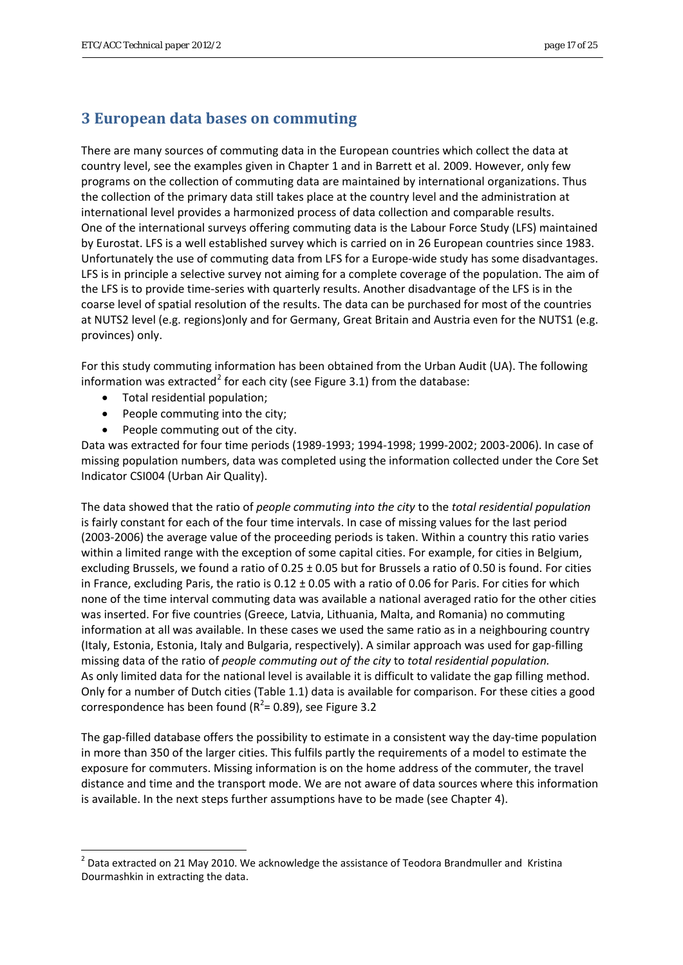## <span id="page-16-0"></span>**3 European data bases on commuting**

There are many sources of commuting data in the European countries which collect the data at country level, see the examples given in Chapter 1 and in Barrett et al. 2009. However, only few programs on the collection of commuting data are maintained by international organizations. Thus the collection of the primary data still takes place at the country level and the administration at international level provides a harmonized process of data collection and comparable results. One of the international surveys offering commuting data is the Labour Force Study (LFS) maintained by Eurostat. LFS is a well established survey which is carried on in 26 European countries since 1983. Unfortunately the use of commuting data from LFS for a Europe‐wide study has some disadvantages. LFS is in principle a selective survey not aiming for a complete coverage of the population. The aim of the LFS is to provide time‐series with quarterly results. Another disadvantage of the LFS is in the coarse level of spatial resolution of the results. The data can be purchased for most of the countries at NUTS2 level (e.g. regions)only and for Germany, Great Britain and Austria even for the NUTS1 (e.g. provinces) only.

For this study commuting information has been obtained from the Urban Audit (UA). The following information was extracted<sup>[2](#page-16-1)</sup> for each city (see Figure 3.1) from the database:

Total residential population;

1

- People commuting into the city;
- People commuting out of the city.

Data was extracted for four time periods (1989‐1993; 1994‐1998; 1999‐2002; 2003‐2006). In case of missing population numbers, data was completed using the information collected under the Core Set Indicator CSI004 (Urban Air Quality).

The data showed that the ratio of *people commuting into the city* to the *total residential population* is fairly constant for each of the four time intervals. In case of missing values for the last period (2003‐2006) the average value of the proceeding periods is taken. Within a country this ratio varies within a limited range with the exception of some capital cities. For example, for cities in Belgium, excluding Brussels, we found a ratio of 0.25 ± 0.05 but for Brussels a ratio of 0.50 is found. For cities in France, excluding Paris, the ratio is  $0.12 \pm 0.05$  with a ratio of 0.06 for Paris. For cities for which none of the time interval commuting data was available a national averaged ratio for the other cities was inserted. For five countries (Greece, Latvia, Lithuania, Malta, and Romania) no commuting information at all was available. In these cases we used the same ratio as in a neighbouring country (Italy, Estonia, Estonia, Italy and Bulgaria, respectively). A similar approach was used for gap‐filling missing data of the ratio of *people commuting out of the city* to *total residential population.* As only limited data for the national level is available it is difficult to validate the gap filling method. Only for a number of Dutch cities (Table 1.1) data is available for comparison. For these cities a good correspondence has been found ( $R^2$ = 0.89), see Figure 3.2

The gap-filled database offers the possibility to estimate in a consistent way the day-time population in more than 350 of the larger cities. This fulfils partly the requirements of a model to estimate the exposure for commuters. Missing information is on the home address of the commuter, the travel distance and time and the transport mode. We are not aware of data sources where this information is available. In the next steps further assumptions have to be made (see Chapter 4).

<span id="page-16-1"></span><sup>&</sup>lt;sup>2</sup> Data extracted on 21 May 2010. We acknowledge the assistance of Teodora Brandmuller and Kristina Dourmashkin in extracting the data.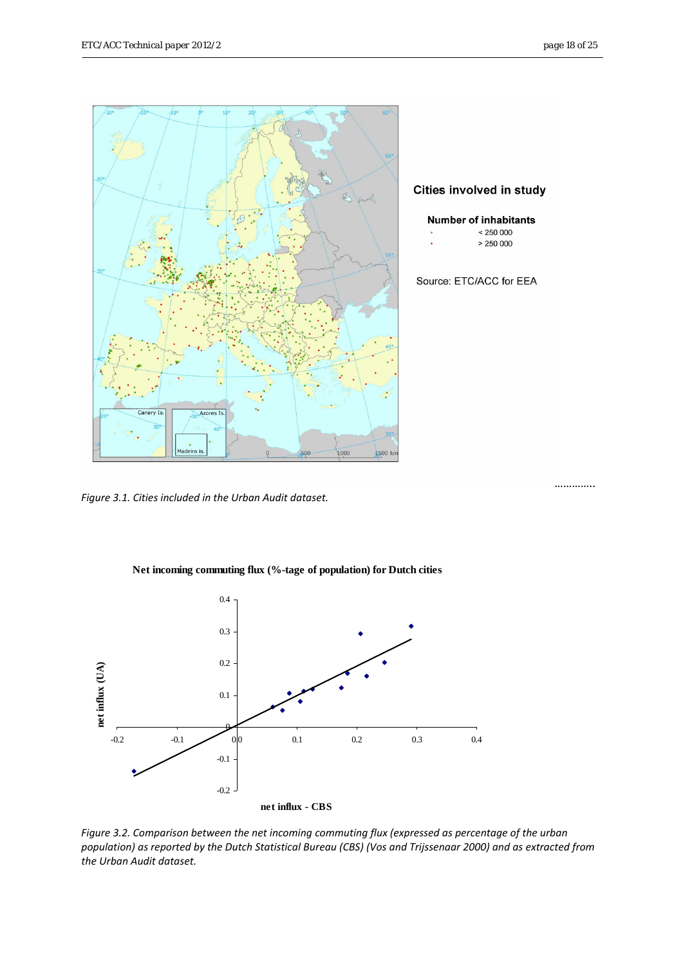

*Figure 3.1. Cities included in the Urban Audit dataset.* 



**Net incoming commuting flux (%-tage of population) for Dutch cities**

*Figure 3.2. Comparison between the net incoming commuting flux (expressed as percentage of the urban* population) as reported by the Dutch Statistical Bureau (CBS) (Vos and Trijssenaar 2000) and as extracted from *the Urban Audit dataset.*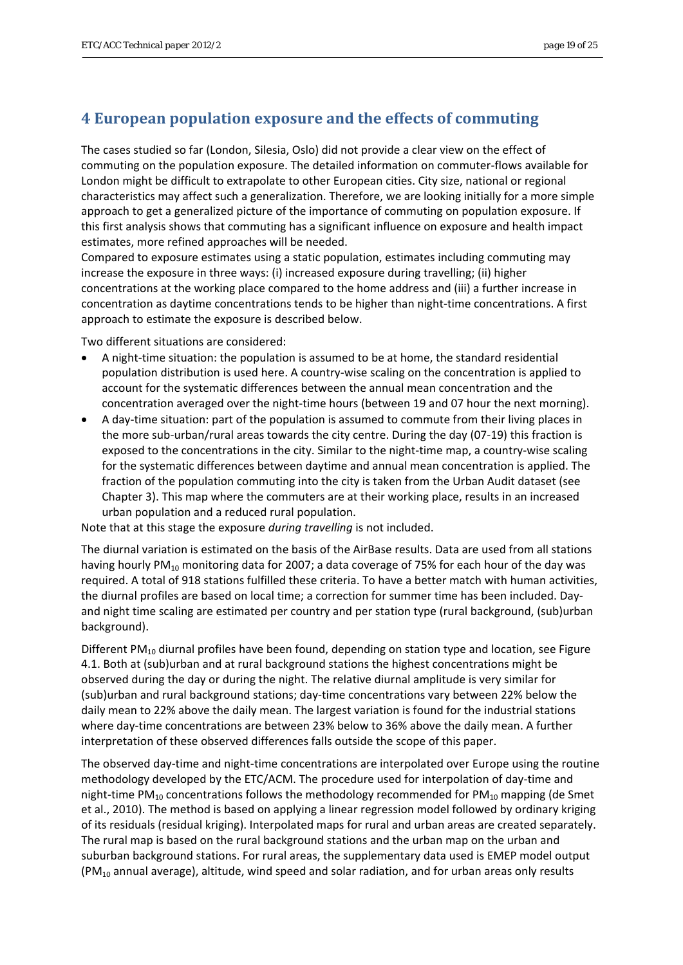## <span id="page-18-0"></span>**4 European population exposure and the effects of commuting**

The cases studied so far (London, Silesia, Oslo) did not provide a clear view on the effect of commuting on the population exposure. The detailed information on commuter‐flows available for London might be difficult to extrapolate to other European cities. City size, national or regional characteristics may affect such a generalization. Therefore, we are looking initially for a more simple approach to get a generalized picture of the importance of commuting on population exposure. If this first analysis shows that commuting has a significant influence on exposure and health impact estimates, more refined approaches will be needed.

Compared to exposure estimates using a static population, estimates including commuting may increase the exposure in three ways: (i) increased exposure during travelling; (ii) higher concentrations at the working place compared to the home address and (iii) a further increase in concentration as daytime concentrations tends to be higher than night-time concentrations. A first approach to estimate the exposure is described below.

Two different situations are considered:

- A night‐time situation: the population is assumed to be at home, the standard residential population distribution is used here. A country‐wise scaling on the concentration is applied to account for the systematic differences between the annual mean concentration and the concentration averaged over the night‐time hours (between 19 and 07 hour the next morning).
- A day‐time situation: part of the population is assumed to commute from their living places in the more sub-urban/rural areas towards the city centre. During the day (07-19) this fraction is exposed to the concentrations in the city. Similar to the night-time map, a country-wise scaling for the systematic differences between daytime and annual mean concentration is applied. The fraction of the population commuting into the city is taken from the Urban Audit dataset (see Chapter 3). This map where the commuters are at their working place, results in an increased urban population and a reduced rural population.

Note that at this stage the exposure *during travelling* is not included.

The diurnal variation is estimated on the basis of the AirBase results. Data are used from all stations having hourly PM<sub>10</sub> monitoring data for 2007; a data coverage of 75% for each hour of the day was required. A total of 918 stations fulfilled these criteria. To have a better match with human activities, the diurnal profiles are based on local time; a correction for summer time has been included. Day‐ and night time scaling are estimated per country and per station type (rural background, (sub)urban background).

Different  $PM_{10}$  diurnal profiles have been found, depending on station type and location, see Figure 4.1. Both at (sub)urban and at rural background stations the highest concentrations might be observed during the day or during the night. The relative diurnal amplitude is very similar for (sub)urban and rural background stations; day‐time concentrations vary between 22% below the daily mean to 22% above the daily mean. The largest variation is found for the industrial stations where day‐time concentrations are between 23% below to 36% above the daily mean. A further interpretation of these observed differences falls outside the scope of this paper.

The observed day-time and night-time concentrations are interpolated over Europe using the routine methodology developed by the ETC/ACM. The procedure used for interpolation of day‐time and night-time PM<sub>10</sub> concentrations follows the methodology recommended for PM<sub>10</sub> mapping (de Smet et al., 2010). The method is based on applying a linear regression model followed by ordinary kriging of its residuals (residual kriging). Interpolated maps for rural and urban areas are created separately. The rural map is based on the rural background stations and the urban map on the urban and suburban background stations. For rural areas, the supplementary data used is EMEP model output  $(PM_{10}$  annual average), altitude, wind speed and solar radiation, and for urban areas only results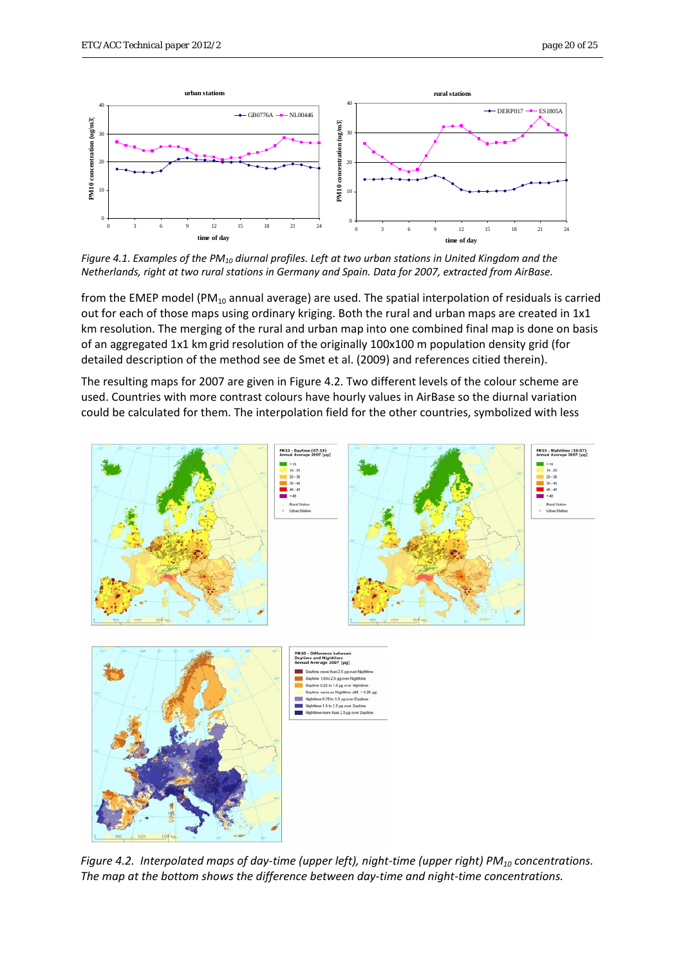

Figure 4.1. Examples of the PM<sub>10</sub> diurnal profiles. Left at two urban stations in United Kingdom and the *Netherlands, right at two rural stations in Germany and Spain. Data for 2007, extracted from AirBase.* 

from the EMEP model (PM $_{10}$  annual average) are used. The spatial interpolation of residuals is carried out for each of those maps using ordinary kriging. Both the rural and urban maps are created in 1x1 km resolution. The merging of the rural and urban map into one combined final map is done on basis of an aggregated 1x1 kmgrid resolution of the originally 100x100 m population density grid (for detailed description of the method see de Smet et al. (2009) and references citied therein).

The resulting maps for 2007 are given in Figure 4.2. Two different levels of the colour scheme are used. Countries with more contrast colours have hourly values in AirBase so the diurnal variation could be calculated for them. The interpolation field for the other countries, symbolized with less



Figure 4.2. Interpolated maps of day-time (upper left), night-time (upper right)  $PM_{10}$  concentrations. *The map at the bottom shows the difference between day‐time and night‐time concentrations.*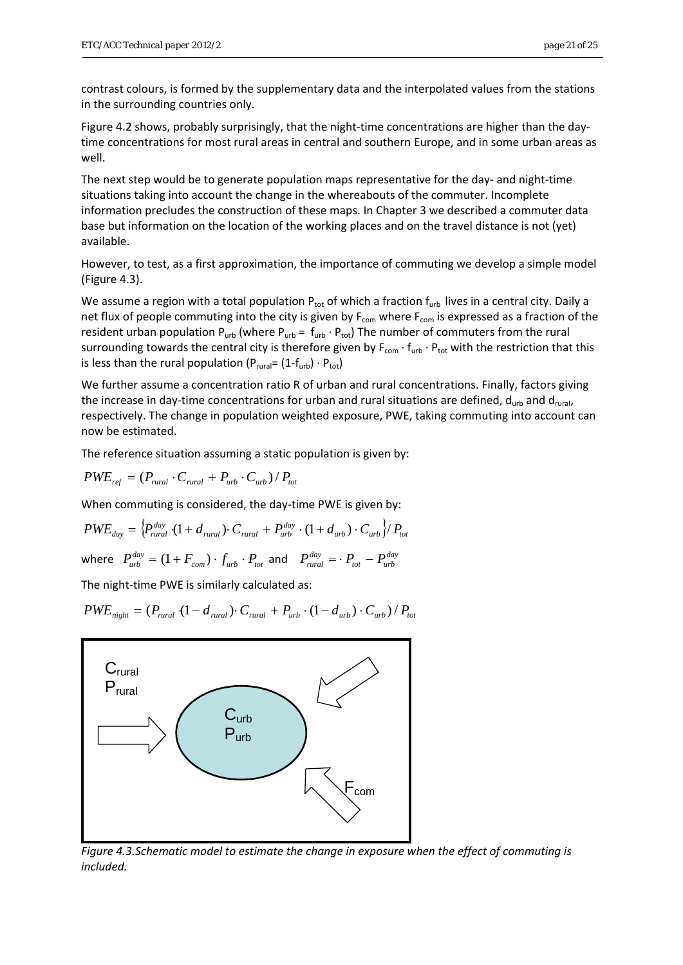contrast colours, is formed by the supplementary data and the interpolated values from the stations in the surrounding countries only.

Figure 4.2 shows, probably surprisingly, that the night-time concentrations are higher than the daytime concentrations for most rural areas in central and southern Europe, and in some urban areas as well.

The next step would be to generate population maps representative for the day- and night-time situations taking into account the change in the whereabouts of the commuter. Incomplete information precludes the construction of these maps. In Chapter 3 we described a commuter data base but information on the location of the working places and on the travel distance is not (yet) available.

However, to test, as a first approximation, the importance of commuting we develop a simple model (Figure 4.3).

We assume a region with a total population  $P_{tot}$  of which a fraction  $f_{urb}$  lives in a central city. Daily a net flux of people commuting into the city is given by  $F_{com}$  where  $F_{com}$  is expressed as a fraction of the resident urban population  $P_{urb}$  (where  $P_{urb} = f_{urb} \cdot P_{tot}$ ) The number of commuters from the rural surrounding towards the central city is therefore given by F<sub>com</sub> ⋅ f<sub>urb</sub> ⋅ P<sub>tot</sub> with the restriction that this is less than the rural population ( $P_{\text{rural}} = (1 - f_{\text{urb}}) \cdot P_{\text{tot}}$ )

We further assume a concentration ratio R of urban and rural concentrations. Finally, factors giving the increase in day-time concentrations for urban and rural situations are defined,  $d_{\text{turb}}$  and  $d_{\text{rurb}}$ respectively. The change in population weighted exposure, PWE, taking commuting into account can now be estimated.

The reference situation assuming a static population is given by:

 $PWE_{ref} = (P_{\text{rural}} \cdot C_{\text{rural}} + P_{\text{urb}} \cdot C_{\text{urb}})/P_{\text{tot}}$ 

When commuting is considered, the day-time PWE is given by:

$$
PWE_{day} = \left\{ P_{rural}^{day} (1 + d_{rural}) \cdot C_{rural} + P_{urb}^{day} \cdot (1 + d_{urb}) \cdot C_{urb} \right\} / P_{tot}
$$

where  $P_{urb}^{day} = (1 + F_{com}) \cdot f_{urb} \cdot P_{tot}$  and  $P_{rural}^{day} = \cdot P_{tot} - P_{urb}^{day}$  $P_{\textit{rural}}^{\textit{day}} = \cdot P_{\textit{tot}} - P_{\textit{urb}}^{\textit{day}}$ 

The night-time PWE is similarly calculated as:

 $PWE_{night} = (P_{quad} (1 - d_{quad}) \cdot C_{rural} + P_{urb} \cdot (1 - d_{urb}) \cdot C_{urb}) / P_{tot}$ 



*Figure 4.3.Schematic model to estimate the change in exposure when the effect of commuting is included.*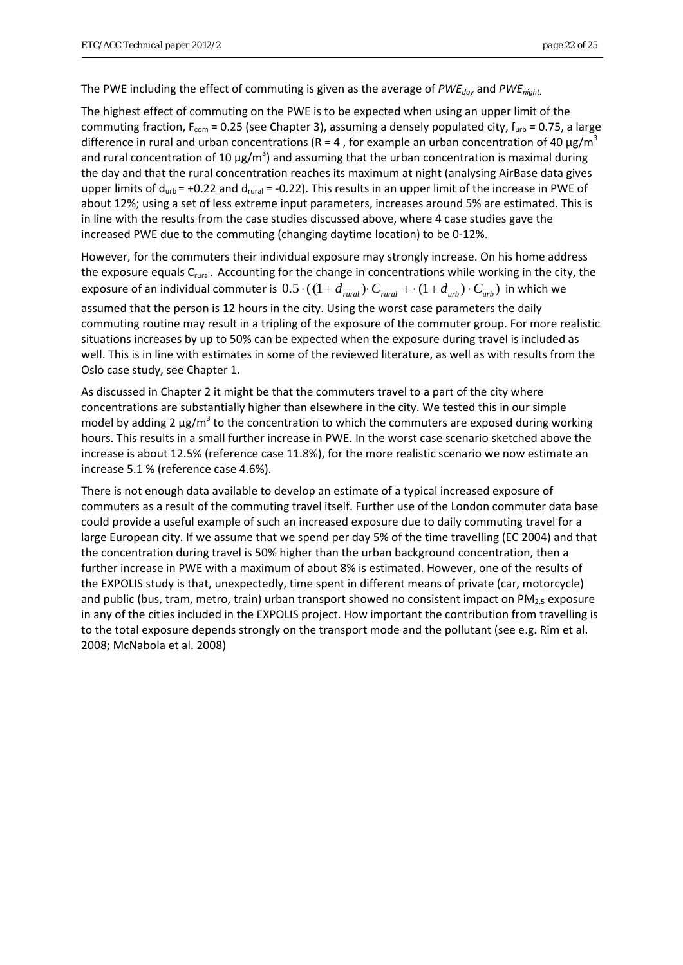The PWE including the effect of commuting is given as the average of *PWE<sub>day</sub>* and *PWE<sub>night</sub>*.

The highest effect of commuting on the PWE is to be expected when using an upper limit of the commuting fraction,  $F_{\text{com}}$  = 0.25 (see Chapter 3), assuming a densely populated city,  $f_{\text{urb}}$  = 0.75, a large difference in rural and urban concentrations (R = 4, for example an urban concentration of 40  $\mu$ g/m<sup>3</sup> and rural concentration of 10  $\mu$ g/m<sup>3</sup>) and assuming that the urban concentration is maximal during the day and that the rural concentration reaches its maximum at night (analysing AirBase data gives upper limits of  $d_{urb} = +0.22$  and  $d_{rural} = -0.22$ ). This results in an upper limit of the increase in PWE of about 12%; using a set of less extreme input parameters, increases around 5% are estimated. This is in line with the results from the case studies discussed above, where 4 case studies gave the increased PWE due to the commuting (changing daytime location) to be 0‐12%.

However, for the commuters their individual exposure may strongly increase. On his home address the exposure equals  $C_{\text{rural}}$ . Accounting for the change in concentrations while working in the city, the exposure of an individual commuter is  $0.5\cdot((1+d_{\text{rand}})\cdot C_{\text{rand}} + (1+d_{\text{urb}})\cdot C_{\text{urb}})$  in which we assumed that the person is 12 hours in the city. Using the worst case parameters the daily commuting routine may result in a tripling of the exposure of the commuter group. For more realistic situations increases by up to 50% can be expected when the exposure during travel is included as well. This is in line with estimates in some of the reviewed literature, as well as with results from the Oslo case study, see Chapter 1.

As discussed in Chapter 2 it might be that the commuters travel to a part of the city where concentrations are substantially higher than elsewhere in the city. We tested this in our simple model by adding 2  $\mu$ g/m<sup>3</sup> to the concentration to which the commuters are exposed during working hours. This results in a small further increase in PWE. In the worst case scenario sketched above the increase is about 12.5% (reference case 11.8%), for the more realistic scenario we now estimate an increase 5.1 % (reference case 4.6%).

There is not enough data available to develop an estimate of a typical increased exposure of commuters as a result of the commuting travel itself. Further use of the London commuter data base could provide a useful example of such an increased exposure due to daily commuting travel for a large European city. If we assume that we spend per day 5% of the time travelling (EC 2004) and that the concentration during travel is 50% higher than the urban background concentration, then a further increase in PWE with a maximum of about 8% is estimated. However, one of the results of the EXPOLIS study is that, unexpectedly, time spent in different means of private (car, motorcycle) and public (bus, tram, metro, train) urban transport showed no consistent impact on  $PM_{2.5}$  exposure in any of the cities included in the EXPOLIS project. How important the contribution from travelling is to the total exposure depends strongly on the transport mode and the pollutant (see e.g. Rim et al. 2008; McNabola et al. 2008)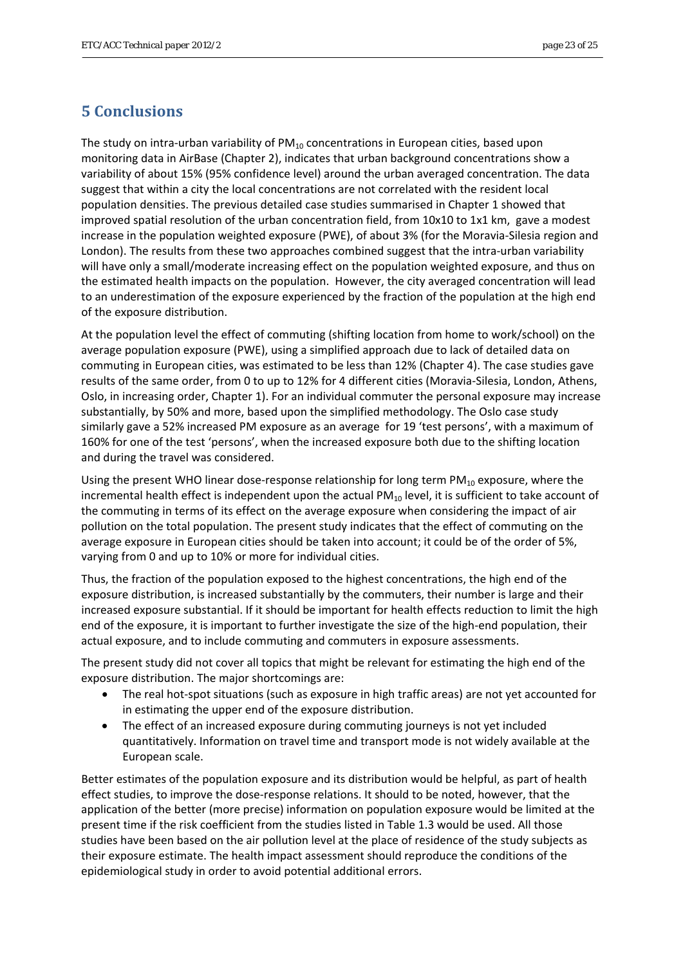## <span id="page-22-0"></span>**5 Conclusions**

The study on intra-urban variability of  $PM_{10}$  concentrations in European cities, based upon monitoring data in AirBase (Chapter 2), indicates that urban background concentrations show a variability of about 15% (95% confidence level) around the urban averaged concentration. The data suggest that within a city the local concentrations are not correlated with the resident local population densities. The previous detailed case studies summarised in Chapter 1 showed that improved spatial resolution of the urban concentration field, from 10x10 to 1x1 km, gave a modest increase in the population weighted exposure (PWE), of about 3% (for the Moravia‐Silesia region and London). The results from these two approaches combined suggest that the intra-urban variability will have only a small/moderate increasing effect on the population weighted exposure, and thus on the estimated health impacts on the population. However, the city averaged concentration will lead to an underestimation of the exposure experienced by the fraction of the population at the high end of the exposure distribution.

At the population level the effect of commuting (shifting location from home to work/school) on the average population exposure (PWE), using a simplified approach due to lack of detailed data on commuting in European cities, was estimated to be less than 12% (Chapter 4). The case studies gave results of the same order, from 0 to up to 12% for 4 different cities (Moravia‐Silesia, London, Athens, Oslo, in increasing order, Chapter 1). For an individual commuter the personal exposure may increase substantially, by 50% and more, based upon the simplified methodology. The Oslo case study similarly gave a 52% increased PM exposure as an average for 19 'test persons', with a maximum of 160% for one of the test 'persons', when the increased exposure both due to the shifting location and during the travel was considered.

Using the present WHO linear dose-response relationship for long term  $PM_{10}$  exposure, where the incremental health effect is independent upon the actual  $PM_{10}$  level, it is sufficient to take account of the commuting in terms of its effect on the average exposure when considering the impact of air pollution on the total population. The present study indicates that the effect of commuting on the average exposure in European cities should be taken into account; it could be of the order of 5%, varying from 0 and up to 10% or more for individual cities.

Thus, the fraction of the population exposed to the highest concentrations, the high end of the exposure distribution, is increased substantially by the commuters, their number is large and their increased exposure substantial. If it should be important for health effects reduction to limit the high end of the exposure, it is important to further investigate the size of the high-end population, their actual exposure, and to include commuting and commuters in exposure assessments.

The present study did not cover all topics that might be relevant for estimating the high end of the exposure distribution. The major shortcomings are:

- The real hot-spot situations (such as exposure in high traffic areas) are not yet accounted for in estimating the upper end of the exposure distribution.
- The effect of an increased exposure during commuting journeys is not yet included quantitatively. Information on travel time and transport mode is not widely available at the European scale.

Better estimates of the population exposure and its distribution would be helpful, as part of health effect studies, to improve the dose-response relations. It should to be noted, however, that the application of the better (more precise) information on population exposure would be limited at the present time if the risk coefficient from the studies listed in Table 1.3 would be used. All those studies have been based on the air pollution level at the place of residence of the study subjects as their exposure estimate. The health impact assessment should reproduce the conditions of the epidemiological study in order to avoid potential additional errors.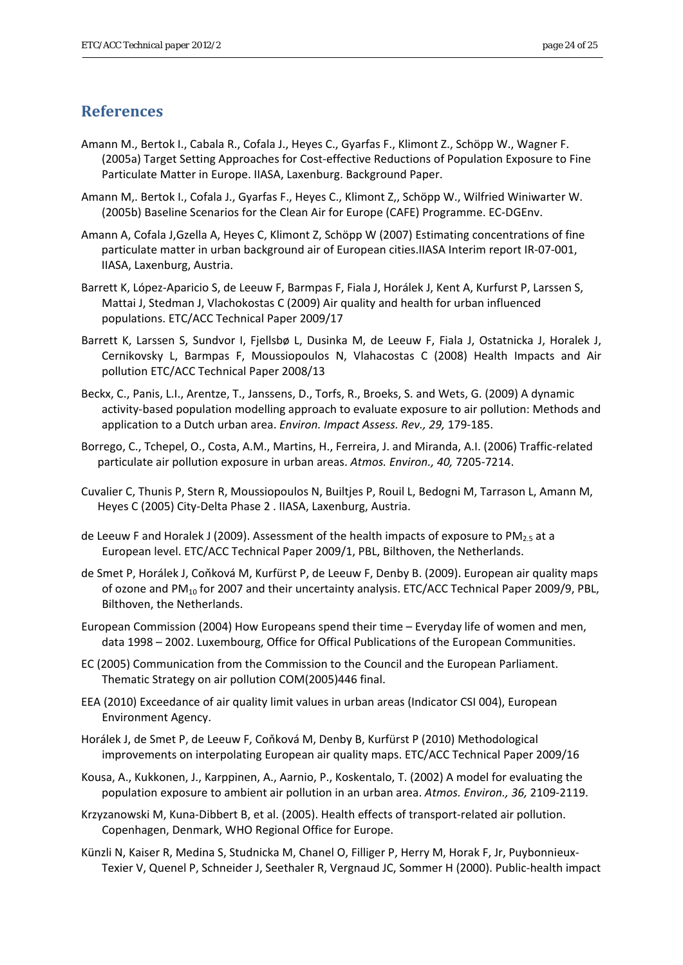## <span id="page-23-0"></span>**References**

- Amann M., Bertok I., Cabala R., Cofala J., Heyes C., Gyarfas F., Klimont Z., Schöpp W., Wagner F. (2005a) Target Setting Approaches for Cost‐effective Reductions of Population Exposure to Fine Particulate Matter in Europe. IIASA, Laxenburg. Background Paper.
- Amann M,. Bertok I., Cofala J., Gyarfas F., Heyes C., Klimont Z,, Schöpp W., Wilfried Winiwarter W. (2005b) Baseline Scenarios for the Clean Air for Europe (CAFE) Programme. EC‐DGEnv.
- Amann A, Cofala J,Gzella A, Heyes C, Klimont Z, Schöpp W (2007) Estimating concentrations of fine particulate matter in urban background air of European cities.IIASA Interim report IR‐07‐001, IIASA, Laxenburg, Austria.
- Barrett K, López-Aparicio S, de Leeuw F, Barmpas F, Fiala J, Horálek J, Kent A, Kurfurst P, Larssen S, Mattai J, Stedman J, Vlachokostas C (2009) Air quality and health for urban influenced populations. ETC/ACC Technical Paper 2009/17
- Barrett K, Larssen S, Sundvor I, Fjellsbø L, Dusinka M, de Leeuw F, Fiala J, Ostatnicka J, Horalek J, Cernikovsky L, Barmpas F, Moussiopoulos N, Vlahacostas C (2008) Health Impacts and Air pollution ETC/ACC Technical Paper 2008/13
- Beckx, C., Panis, L.I., Arentze, T., Janssens, D., Torfs, R., Broeks, S. and Wets, G. (2009) A dynamic activity‐based population modelling approach to evaluate exposure to air pollution: Methods and application to a Dutch urban area. *Environ. Impact Assess. Rev., 29,* 179‐185.
- Borrego, C., Tchepel, O., Costa, A.M., Martins, H., Ferreira, J. and Miranda, A.I. (2006) Traffic‐related particulate air pollution exposure in urban areas. *Atmos. Environ., 40,* 7205‐7214.
- Cuvalier C, Thunis P, Stern R, Moussiopoulos N, Builtjes P, Rouil L, Bedogni M, Tarrason L, Amann M, Heyes C (2005) City‐Delta Phase 2 . IIASA, Laxenburg, Austria.
- de Leeuw F and Horalek J (2009). Assessment of the health impacts of exposure to PM<sub>2.5</sub> at a European level. ETC/ACC Technical Paper 2009/1, PBL, Bilthoven, the Netherlands.
- de Smet P, Horálek J, Coňková M, Kurfürst P, de Leeuw F, Denby B. (2009). European air quality maps of ozone and PM10 for 2007 and their uncertainty analysis. ETC/ACC Technical Paper 2009/9, PBL, Bilthoven, the Netherlands.
- European Commission (2004) How Europeans spend their time Everyday life of women and men, data 1998 – 2002. Luxembourg, Office for Offical Publications of the European Communities.
- EC (2005) Communication from the Commission to the Council and the European Parliament. Thematic Strategy on air pollution COM(2005)446 final.
- EEA (2010) Exceedance of air quality limit values in urban areas (Indicator CSI 004), European Environment Agency.
- Horálek J, de Smet P, de Leeuw F, Coňková M, Denby B, Kurfürst P (2010) Methodological improvements on interpolating European air quality maps. ETC/ACC Technical Paper 2009/16
- Kousa, A., Kukkonen, J., Karppinen, A., Aarnio, P., Koskentalo, T. (2002) A model for evaluating the population exposure to ambient air pollution in an urban area. *Atmos. Environ., 36,* 2109‐2119.
- Krzyzanowski M, Kuna‐Dibbert B, et al. (2005). Health effects of transport‐related air pollution. Copenhagen, Denmark, WHO Regional Office for Europe.
- Künzli N, Kaiser R, Medina S, Studnicka M, Chanel O, Filliger P, Herry M, Horak F, Jr, Puybonnieux‐ Texier V, Quenel P, Schneider J, Seethaler R, Vergnaud JC, Sommer H (2000). Public‐health impact